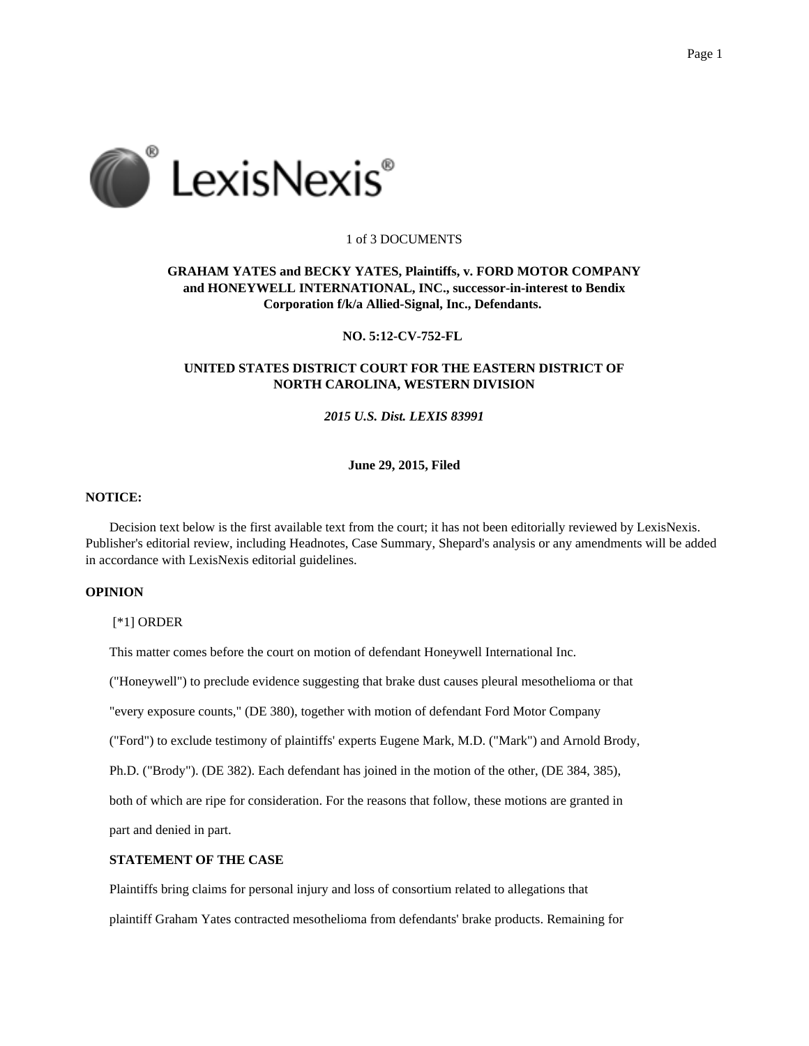

## 1 of 3 DOCUMENTS

# **GRAHAM YATES and BECKY YATES, Plaintiffs, v. FORD MOTOR COMPANY and HONEYWELL INTERNATIONAL, INC., successor-in-interest to Bendix Corporation f/k/a Allied-Signal, Inc., Defendants.**

## **NO. 5:12-CV-752-FL**

# **UNITED STATES DISTRICT COURT FOR THE EASTERN DISTRICT OF NORTH CAROLINA, WESTERN DIVISION**

# *2015 U.S. Dist. LEXIS 83991*

## **June 29, 2015, Filed**

## **NOTICE:**

Decision text below is the first available text from the court; it has not been editorially reviewed by LexisNexis. Publisher's editorial review, including Headnotes, Case Summary, Shepard's analysis or any amendments will be added in accordance with LexisNexis editorial guidelines.

## **OPINION**

[\*1] ORDER

This matter comes before the court on motion of defendant Honeywell International Inc.

("Honeywell") to preclude evidence suggesting that brake dust causes pleural mesothelioma or that

"every exposure counts," (DE 380), together with motion of defendant Ford Motor Company

("Ford") to exclude testimony of plaintiffs' experts Eugene Mark, M.D. ("Mark") and Arnold Brody,

Ph.D. ("Brody"). (DE 382). Each defendant has joined in the motion of the other, (DE 384, 385),

both of which are ripe for consideration. For the reasons that follow, these motions are granted in

part and denied in part.

## **STATEMENT OF THE CASE**

Plaintiffs bring claims for personal injury and loss of consortium related to allegations that

plaintiff Graham Yates contracted mesothelioma from defendants' brake products. Remaining for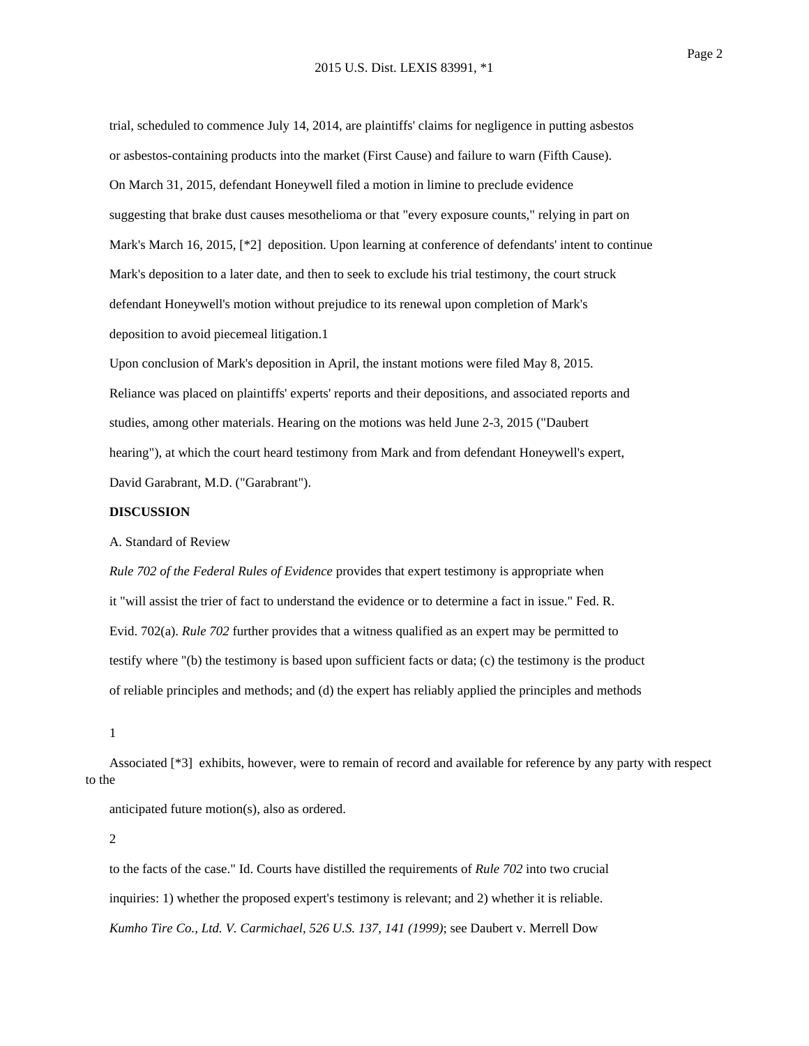trial, scheduled to commence July 14, 2014, are plaintiffs' claims for negligence in putting asbestos or asbestos-containing products into the market (First Cause) and failure to warn (Fifth Cause). On March 31, 2015, defendant Honeywell filed a motion in limine to preclude evidence suggesting that brake dust causes mesothelioma or that "every exposure counts," relying in part on Mark's March 16, 2015, [\*2] deposition. Upon learning at conference of defendants' intent to continue Mark's deposition to a later date, and then to seek to exclude his trial testimony, the court struck defendant Honeywell's motion without prejudice to its renewal upon completion of Mark's deposition to avoid piecemeal litigation.1

Upon conclusion of Mark's deposition in April, the instant motions were filed May 8, 2015. Reliance was placed on plaintiffs' experts' reports and their depositions, and associated reports and studies, among other materials. Hearing on the motions was held June 2-3, 2015 ("Daubert hearing"), at which the court heard testimony from Mark and from defendant Honeywell's expert, David Garabrant, M.D. ("Garabrant").

### **DISCUSSION**

A. Standard of Review

*Rule 702 of the Federal Rules of Evidence* provides that expert testimony is appropriate when it "will assist the trier of fact to understand the evidence or to determine a fact in issue." Fed. R. Evid. 702(a). *Rule 702* further provides that a witness qualified as an expert may be permitted to testify where "(b) the testimony is based upon sufficient facts or data; (c) the testimony is the product of reliable principles and methods; and (d) the expert has reliably applied the principles and methods

1

Associated [\*3] exhibits, however, were to remain of record and available for reference by any party with respect to the

anticipated future motion(s), also as ordered.

2

to the facts of the case." Id. Courts have distilled the requirements of *Rule 702* into two crucial inquiries: 1) whether the proposed expert's testimony is relevant; and 2) whether it is reliable. *Kumho Tire Co., Ltd. V. Carmichael, 526 U.S. 137, 141 (1999)*; see Daubert v. Merrell Dow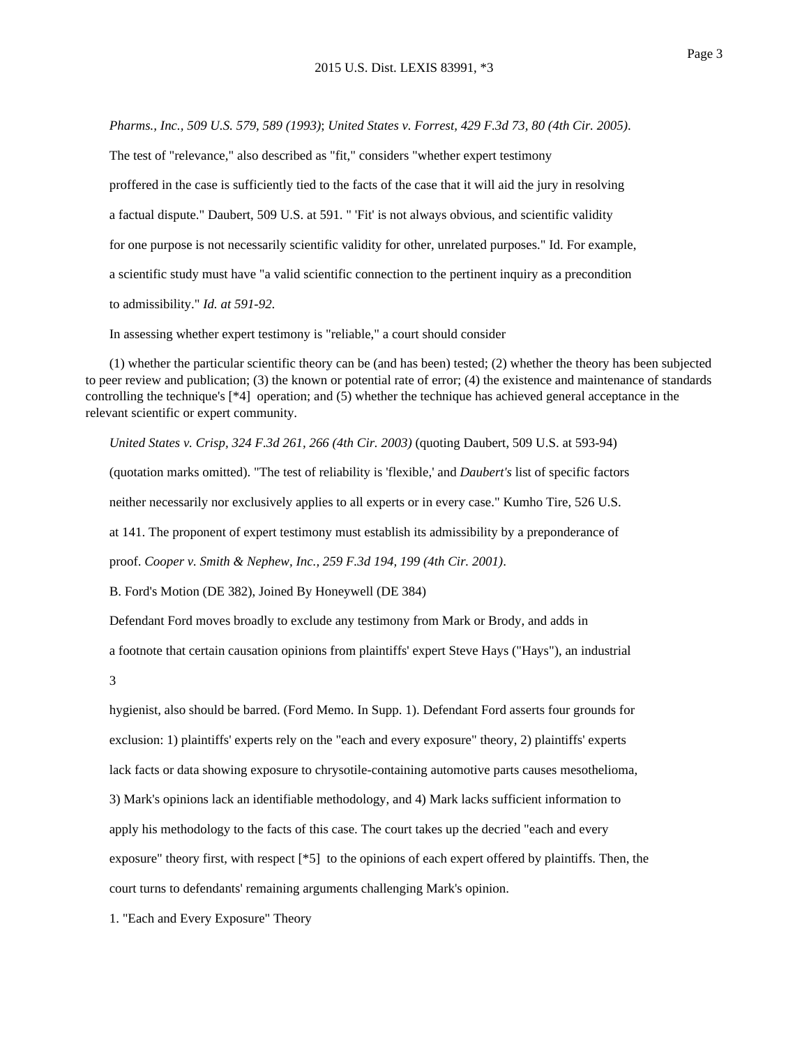*Pharms., Inc., 509 U.S. 579, 589 (1993)*; *United States v. Forrest, 429 F.3d 73, 80 (4th Cir. 2005)*. The test of "relevance," also described as "fit," considers "whether expert testimony proffered in the case is sufficiently tied to the facts of the case that it will aid the jury in resolving a factual dispute." Daubert, 509 U.S. at 591. " 'Fit' is not always obvious, and scientific validity for one purpose is not necessarily scientific validity for other, unrelated purposes." Id. For example, a scientific study must have "a valid scientific connection to the pertinent inquiry as a precondition to admissibility." *Id. at 591-92*.

In assessing whether expert testimony is "reliable," a court should consider

(1) whether the particular scientific theory can be (and has been) tested; (2) whether the theory has been subjected to peer review and publication; (3) the known or potential rate of error; (4) the existence and maintenance of standards controlling the technique's [\*4] operation; and (5) whether the technique has achieved general acceptance in the relevant scientific or expert community.

*United States v. Crisp, 324 F.3d 261, 266 (4th Cir. 2003)* (quoting Daubert, 509 U.S. at 593-94) (quotation marks omitted). "The test of reliability is 'flexible,' and *Daubert's* list of specific factors neither necessarily nor exclusively applies to all experts or in every case." Kumho Tire, 526 U.S. at 141. The proponent of expert testimony must establish its admissibility by a preponderance of proof. *Cooper v. Smith & Nephew, Inc., 259 F.3d 194, 199 (4th Cir. 2001)*.

B. Ford's Motion (DE 382), Joined By Honeywell (DE 384)

Defendant Ford moves broadly to exclude any testimony from Mark or Brody, and adds in

a footnote that certain causation opinions from plaintiffs' expert Steve Hays ("Hays"), an industrial

3

hygienist, also should be barred. (Ford Memo. In Supp. 1). Defendant Ford asserts four grounds for exclusion: 1) plaintiffs' experts rely on the "each and every exposure" theory, 2) plaintiffs' experts lack facts or data showing exposure to chrysotile-containing automotive parts causes mesothelioma, 3) Mark's opinions lack an identifiable methodology, and 4) Mark lacks sufficient information to apply his methodology to the facts of this case. The court takes up the decried "each and every exposure" theory first, with respect [\*5] to the opinions of each expert offered by plaintiffs. Then, the court turns to defendants' remaining arguments challenging Mark's opinion.

1. "Each and Every Exposure" Theory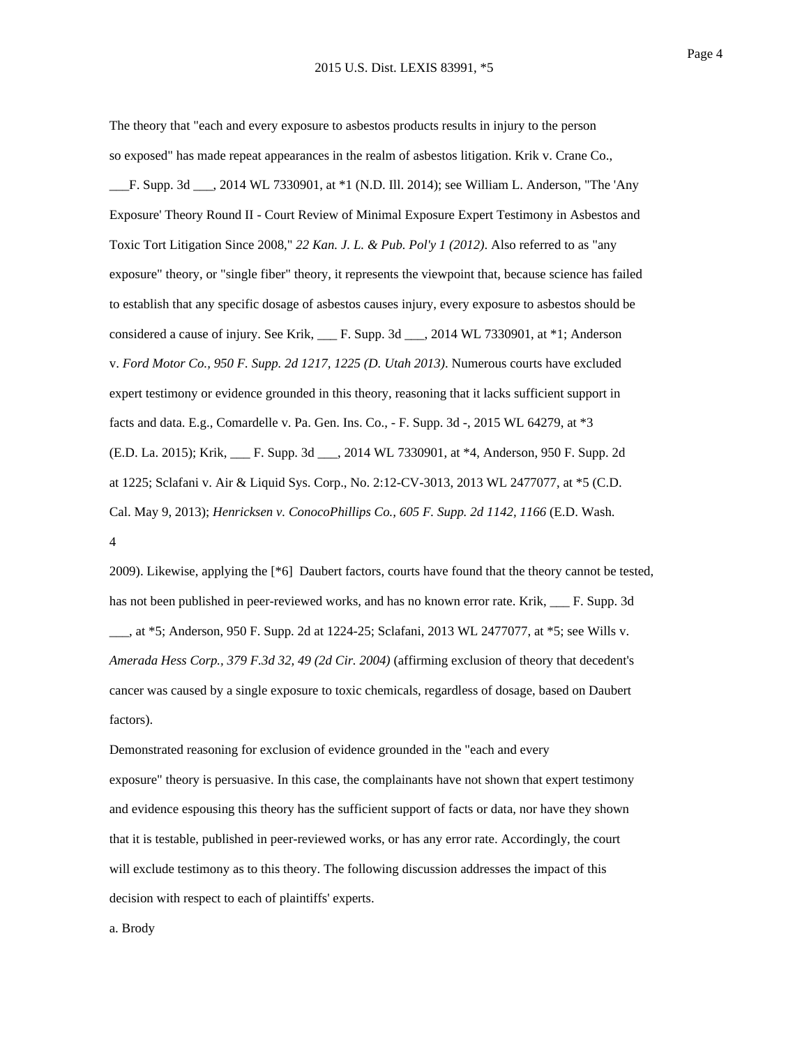The theory that "each and every exposure to asbestos products results in injury to the person so exposed" has made repeat appearances in the realm of asbestos litigation. Krik v. Crane Co., \_\_\_F. Supp. 3d \_\_\_, 2014 WL 7330901, at \*1 (N.D. Ill. 2014); see William L. Anderson, "The 'Any Exposure' Theory Round II - Court Review of Minimal Exposure Expert Testimony in Asbestos and Toxic Tort Litigation Since 2008," *22 Kan. J. L. & Pub. Pol'y 1 (2012)*. Also referred to as "any exposure" theory, or "single fiber" theory, it represents the viewpoint that, because science has failed to establish that any specific dosage of asbestos causes injury, every exposure to asbestos should be considered a cause of injury. See Krik, \_\_\_ F. Supp. 3d \_\_\_, 2014 WL 7330901, at \*1; Anderson v. *Ford Motor Co., 950 F. Supp. 2d 1217, 1225 (D. Utah 2013)*. Numerous courts have excluded expert testimony or evidence grounded in this theory, reasoning that it lacks sufficient support in facts and data. E.g., Comardelle v. Pa. Gen. Ins. Co., - F. Supp. 3d -, 2015 WL 64279, at \*3 (E.D. La. 2015); Krik, \_\_\_ F. Supp. 3d \_\_\_, 2014 WL 7330901, at \*4, Anderson, 950 F. Supp. 2d at 1225; Sclafani v. Air & Liquid Sys. Corp., No. 2:12-CV-3013, 2013 WL 2477077, at \*5 (C.D. Cal. May 9, 2013); *Henricksen v. ConocoPhillips Co., 605 F. Supp. 2d 1142, 1166* (E.D. Wash. 4

2009). Likewise, applying the [\*6] Daubert factors, courts have found that the theory cannot be tested, has not been published in peer-reviewed works, and has no known error rate. Krik, \_\_\_ F. Supp. 3d \_\_\_, at \*5; Anderson, 950 F. Supp. 2d at 1224-25; Sclafani, 2013 WL 2477077, at \*5; see Wills v. *Amerada Hess Corp., 379 F.3d 32, 49 (2d Cir. 2004)* (affirming exclusion of theory that decedent's cancer was caused by a single exposure to toxic chemicals, regardless of dosage, based on Daubert factors).

Demonstrated reasoning for exclusion of evidence grounded in the "each and every exposure" theory is persuasive. In this case, the complainants have not shown that expert testimony and evidence espousing this theory has the sufficient support of facts or data, nor have they shown that it is testable, published in peer-reviewed works, or has any error rate. Accordingly, the court will exclude testimony as to this theory. The following discussion addresses the impact of this decision with respect to each of plaintiffs' experts.

a. Brody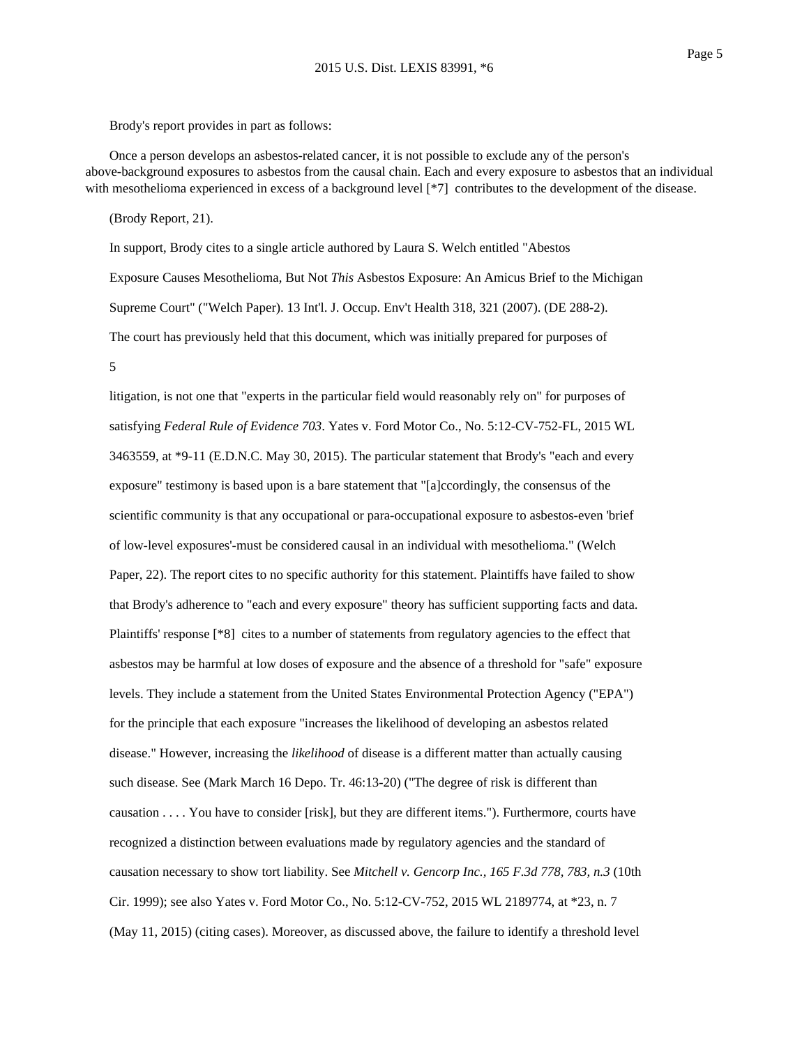Brody's report provides in part as follows:

Once a person develops an asbestos-related cancer, it is not possible to exclude any of the person's above-background exposures to asbestos from the causal chain. Each and every exposure to asbestos that an individual with mesothelioma experienced in excess of a background level [\*7] contributes to the development of the disease.

(Brody Report, 21).

In support, Brody cites to a single article authored by Laura S. Welch entitled "Abestos

Exposure Causes Mesothelioma, But Not *This* Asbestos Exposure: An Amicus Brief to the Michigan Supreme Court" ("Welch Paper). 13 Int'l. J. Occup. Env't Health 318, 321 (2007). (DE 288-2). The court has previously held that this document, which was initially prepared for purposes of

5

litigation, is not one that "experts in the particular field would reasonably rely on" for purposes of satisfying *Federal Rule of Evidence 703*. Yates v. Ford Motor Co., No. 5:12-CV-752-FL, 2015 WL 3463559, at \*9-11 (E.D.N.C. May 30, 2015). The particular statement that Brody's "each and every exposure" testimony is based upon is a bare statement that "[a]ccordingly, the consensus of the scientific community is that any occupational or para-occupational exposure to asbestos-even 'brief of low-level exposures'-must be considered causal in an individual with mesothelioma." (Welch Paper, 22). The report cites to no specific authority for this statement. Plaintiffs have failed to show that Brody's adherence to "each and every exposure" theory has sufficient supporting facts and data. Plaintiffs' response [\*8] cites to a number of statements from regulatory agencies to the effect that asbestos may be harmful at low doses of exposure and the absence of a threshold for "safe" exposure levels. They include a statement from the United States Environmental Protection Agency ("EPA") for the principle that each exposure "increases the likelihood of developing an asbestos related disease." However, increasing the *likelihood* of disease is a different matter than actually causing such disease. See (Mark March 16 Depo. Tr. 46:13-20) ("The degree of risk is different than causation . . . . You have to consider [risk], but they are different items."). Furthermore, courts have recognized a distinction between evaluations made by regulatory agencies and the standard of causation necessary to show tort liability. See *Mitchell v. Gencorp Inc., 165 F.3d 778, 783, n.3* (10th Cir. 1999); see also Yates v. Ford Motor Co., No. 5:12-CV-752, 2015 WL 2189774, at \*23, n. 7 (May 11, 2015) (citing cases). Moreover, as discussed above, the failure to identify a threshold level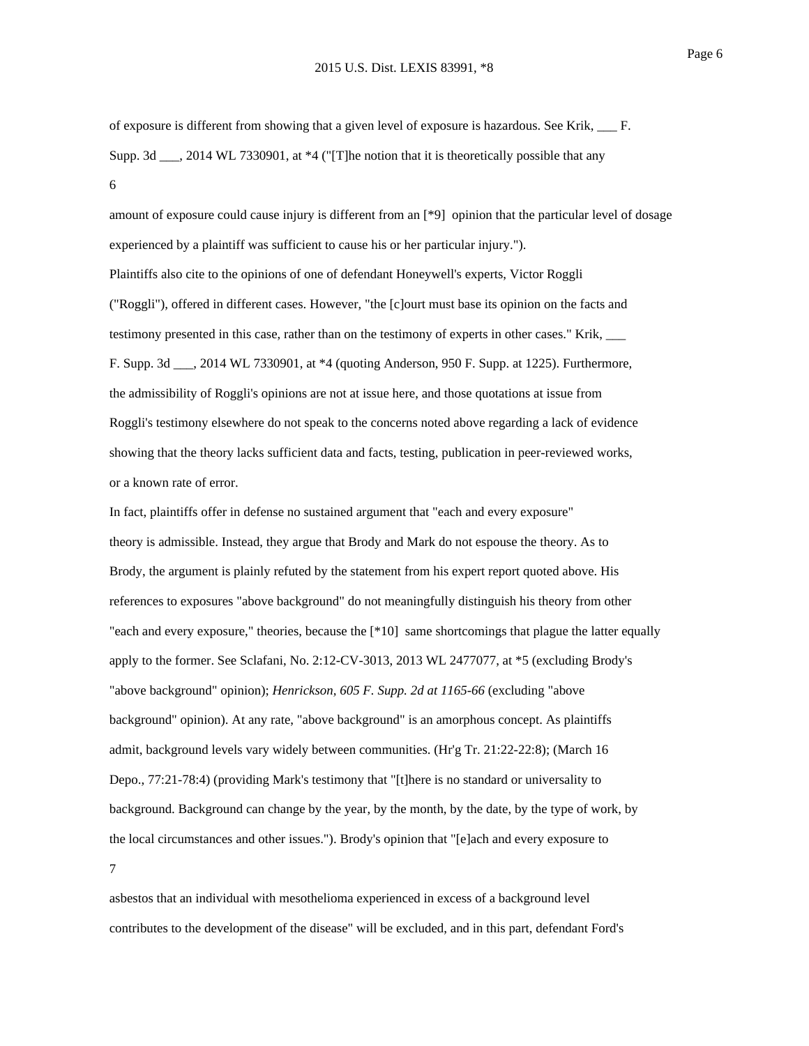of exposure is different from showing that a given level of exposure is hazardous. See Krik, \_\_\_ F. Supp. 3d \_\_\_, 2014 WL 7330901, at \*4 ("[T]he notion that it is theoretically possible that any 6

amount of exposure could cause injury is different from an [\*9] opinion that the particular level of dosage experienced by a plaintiff was sufficient to cause his or her particular injury."). Plaintiffs also cite to the opinions of one of defendant Honeywell's experts, Victor Roggli ("Roggli"), offered in different cases. However, "the [c]ourt must base its opinion on the facts and testimony presented in this case, rather than on the testimony of experts in other cases." Krik, \_\_\_ F. Supp. 3d \_\_\_, 2014 WL 7330901, at \*4 (quoting Anderson, 950 F. Supp. at 1225). Furthermore, the admissibility of Roggli's opinions are not at issue here, and those quotations at issue from Roggli's testimony elsewhere do not speak to the concerns noted above regarding a lack of evidence showing that the theory lacks sufficient data and facts, testing, publication in peer-reviewed works, or a known rate of error.

In fact, plaintiffs offer in defense no sustained argument that "each and every exposure" theory is admissible. Instead, they argue that Brody and Mark do not espouse the theory. As to Brody, the argument is plainly refuted by the statement from his expert report quoted above. His references to exposures "above background" do not meaningfully distinguish his theory from other "each and every exposure," theories, because the [\*10] same shortcomings that plague the latter equally apply to the former. See Sclafani, No. 2:12-CV-3013, 2013 WL 2477077, at \*5 (excluding Brody's "above background" opinion); *Henrickson, 605 F. Supp. 2d at 1165-66* (excluding "above background" opinion). At any rate, "above background" is an amorphous concept. As plaintiffs admit, background levels vary widely between communities. (Hr'g Tr. 21:22-22:8); (March 16 Depo., 77:21-78:4) (providing Mark's testimony that "[t]here is no standard or universality to background. Background can change by the year, by the month, by the date, by the type of work, by the local circumstances and other issues."). Brody's opinion that "[e]ach and every exposure to 7

asbestos that an individual with mesothelioma experienced in excess of a background level contributes to the development of the disease" will be excluded, and in this part, defendant Ford's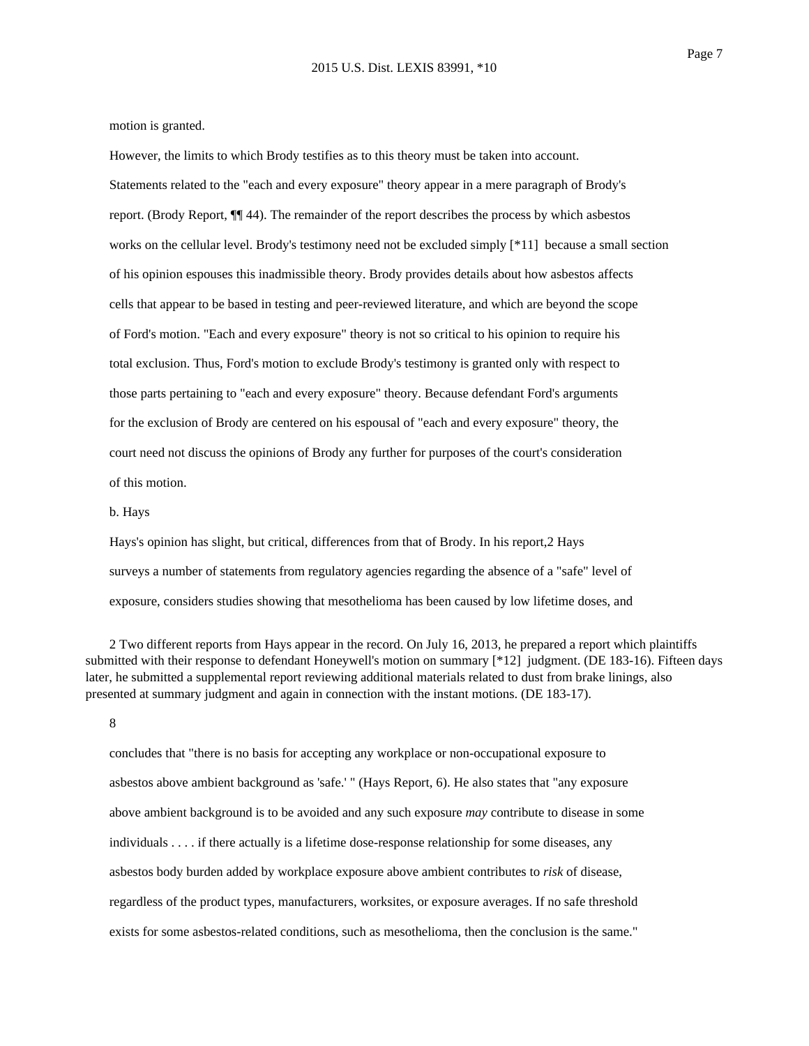motion is granted.

However, the limits to which Brody testifies as to this theory must be taken into account. Statements related to the "each and every exposure" theory appear in a mere paragraph of Brody's report. (Brody Report, ¶¶ 44). The remainder of the report describes the process by which asbestos works on the cellular level. Brody's testimony need not be excluded simply [\*11] because a small section of his opinion espouses this inadmissible theory. Brody provides details about how asbestos affects cells that appear to be based in testing and peer-reviewed literature, and which are beyond the scope of Ford's motion. "Each and every exposure" theory is not so critical to his opinion to require his total exclusion. Thus, Ford's motion to exclude Brody's testimony is granted only with respect to those parts pertaining to "each and every exposure" theory. Because defendant Ford's arguments for the exclusion of Brody are centered on his espousal of "each and every exposure" theory, the court need not discuss the opinions of Brody any further for purposes of the court's consideration of this motion.

#### b. Hays

Hays's opinion has slight, but critical, differences from that of Brody. In his report,2 Hays surveys a number of statements from regulatory agencies regarding the absence of a "safe" level of exposure, considers studies showing that mesothelioma has been caused by low lifetime doses, and

2 Two different reports from Hays appear in the record. On July 16, 2013, he prepared a report which plaintiffs submitted with their response to defendant Honeywell's motion on summary [\*12] judgment. (DE 183-16). Fifteen days later, he submitted a supplemental report reviewing additional materials related to dust from brake linings, also presented at summary judgment and again in connection with the instant motions. (DE 183-17).

8

concludes that "there is no basis for accepting any workplace or non-occupational exposure to asbestos above ambient background as 'safe.' " (Hays Report, 6). He also states that "any exposure above ambient background is to be avoided and any such exposure *may* contribute to disease in some individuals . . . . if there actually is a lifetime dose-response relationship for some diseases, any asbestos body burden added by workplace exposure above ambient contributes to *risk* of disease, regardless of the product types, manufacturers, worksites, or exposure averages. If no safe threshold exists for some asbestos-related conditions, such as mesothelioma, then the conclusion is the same."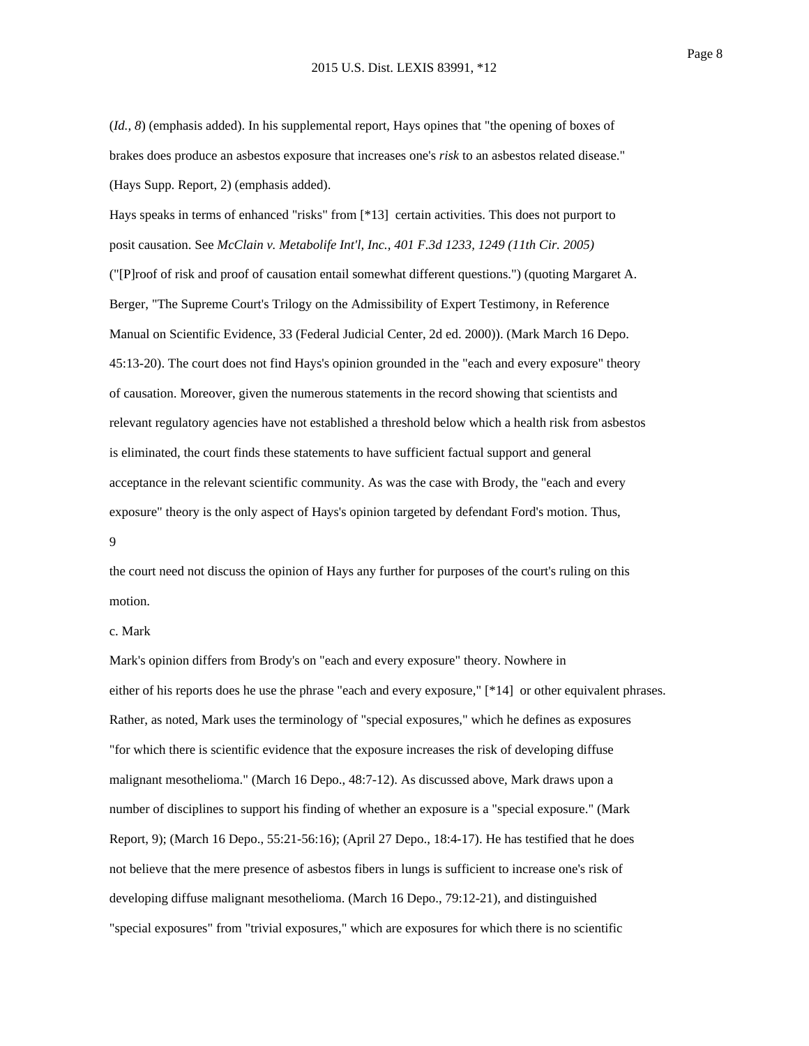Page 8

(*Id., 8*) (emphasis added). In his supplemental report, Hays opines that "the opening of boxes of brakes does produce an asbestos exposure that increases one's *risk* to an asbestos related disease." (Hays Supp. Report, 2) (emphasis added).

Hays speaks in terms of enhanced "risks" from [\*13] certain activities. This does not purport to posit causation. See *McClain v. Metabolife Int'l, Inc., 401 F.3d 1233, 1249 (11th Cir. 2005)*

("[P]roof of risk and proof of causation entail somewhat different questions.") (quoting Margaret A. Berger, "The Supreme Court's Trilogy on the Admissibility of Expert Testimony, in Reference Manual on Scientific Evidence, 33 (Federal Judicial Center, 2d ed. 2000)). (Mark March 16 Depo. 45:13-20). The court does not find Hays's opinion grounded in the "each and every exposure" theory of causation. Moreover, given the numerous statements in the record showing that scientists and relevant regulatory agencies have not established a threshold below which a health risk from asbestos is eliminated, the court finds these statements to have sufficient factual support and general acceptance in the relevant scientific community. As was the case with Brody, the "each and every exposure" theory is the only aspect of Hays's opinion targeted by defendant Ford's motion. Thus,

9

the court need not discuss the opinion of Hays any further for purposes of the court's ruling on this motion.

### c. Mark

Mark's opinion differs from Brody's on "each and every exposure" theory. Nowhere in either of his reports does he use the phrase "each and every exposure," [\*14] or other equivalent phrases. Rather, as noted, Mark uses the terminology of "special exposures," which he defines as exposures "for which there is scientific evidence that the exposure increases the risk of developing diffuse malignant mesothelioma." (March 16 Depo., 48:7-12). As discussed above, Mark draws upon a number of disciplines to support his finding of whether an exposure is a "special exposure." (Mark Report, 9); (March 16 Depo., 55:21-56:16); (April 27 Depo., 18:4-17). He has testified that he does not believe that the mere presence of asbestos fibers in lungs is sufficient to increase one's risk of developing diffuse malignant mesothelioma. (March 16 Depo., 79:12-21), and distinguished "special exposures" from "trivial exposures," which are exposures for which there is no scientific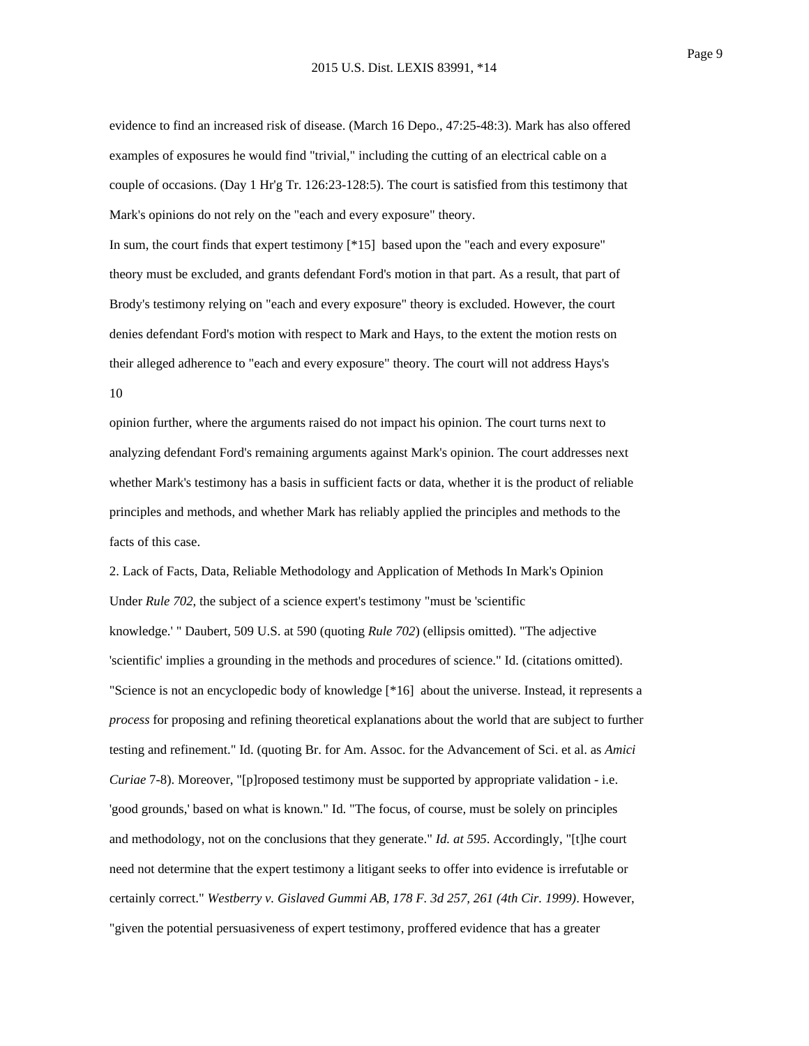evidence to find an increased risk of disease. (March 16 Depo., 47:25-48:3). Mark has also offered examples of exposures he would find "trivial," including the cutting of an electrical cable on a couple of occasions. (Day 1 Hr'g Tr. 126:23-128:5). The court is satisfied from this testimony that Mark's opinions do not rely on the "each and every exposure" theory.

In sum, the court finds that expert testimony [\*15] based upon the "each and every exposure" theory must be excluded, and grants defendant Ford's motion in that part. As a result, that part of Brody's testimony relying on "each and every exposure" theory is excluded. However, the court denies defendant Ford's motion with respect to Mark and Hays, to the extent the motion rests on their alleged adherence to "each and every exposure" theory. The court will not address Hays's 10

opinion further, where the arguments raised do not impact his opinion. The court turns next to analyzing defendant Ford's remaining arguments against Mark's opinion. The court addresses next whether Mark's testimony has a basis in sufficient facts or data, whether it is the product of reliable principles and methods, and whether Mark has reliably applied the principles and methods to the facts of this case.

2. Lack of Facts, Data, Reliable Methodology and Application of Methods In Mark's Opinion Under *Rule 702*, the subject of a science expert's testimony "must be 'scientific knowledge.' " Daubert, 509 U.S. at 590 (quoting *Rule 702*) (ellipsis omitted). "The adjective 'scientific' implies a grounding in the methods and procedures of science." Id. (citations omitted). "Science is not an encyclopedic body of knowledge [\*16] about the universe. Instead, it represents a *process* for proposing and refining theoretical explanations about the world that are subject to further testing and refinement." Id. (quoting Br. for Am. Assoc. for the Advancement of Sci. et al. as *Amici Curiae* 7-8). Moreover, "[p]roposed testimony must be supported by appropriate validation - i.e. 'good grounds,' based on what is known." Id. "The focus, of course, must be solely on principles and methodology, not on the conclusions that they generate." *Id. at 595*. Accordingly, "[t]he court need not determine that the expert testimony a litigant seeks to offer into evidence is irrefutable or certainly correct." *Westberry v. Gislaved Gummi AB, 178 F. 3d 257, 261 (4th Cir. 1999)*. However, "given the potential persuasiveness of expert testimony, proffered evidence that has a greater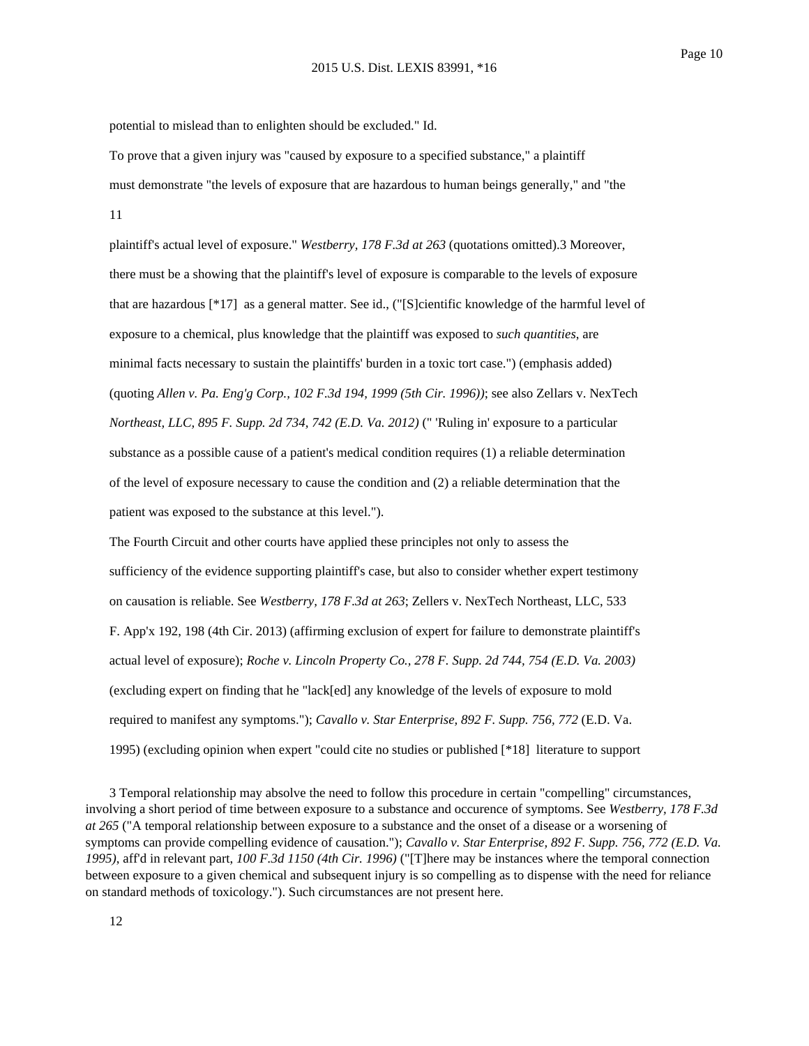potential to mislead than to enlighten should be excluded." Id.

To prove that a given injury was "caused by exposure to a specified substance," a plaintiff must demonstrate "the levels of exposure that are hazardous to human beings generally," and "the 11

plaintiff's actual level of exposure." *Westberry, 178 F.3d at 263* (quotations omitted).3 Moreover, there must be a showing that the plaintiff's level of exposure is comparable to the levels of exposure that are hazardous [\*17] as a general matter. See id., ("[S]cientific knowledge of the harmful level of exposure to a chemical, plus knowledge that the plaintiff was exposed to *such quantities*, are minimal facts necessary to sustain the plaintiffs' burden in a toxic tort case.") (emphasis added) (quoting *Allen v. Pa. Eng'g Corp., 102 F.3d 194, 1999 (5th Cir. 1996))*; see also Zellars v. NexTech *Northeast, LLC, 895 F. Supp. 2d 734, 742 (E.D. Va. 2012)* (" 'Ruling in' exposure to a particular substance as a possible cause of a patient's medical condition requires (1) a reliable determination of the level of exposure necessary to cause the condition and (2) a reliable determination that the patient was exposed to the substance at this level.").

The Fourth Circuit and other courts have applied these principles not only to assess the sufficiency of the evidence supporting plaintiff's case, but also to consider whether expert testimony on causation is reliable. See *Westberry, 178 F.3d at 263*; Zellers v. NexTech Northeast, LLC, 533 F. App'x 192, 198 (4th Cir. 2013) (affirming exclusion of expert for failure to demonstrate plaintiff's actual level of exposure); *Roche v. Lincoln Property Co., 278 F. Supp. 2d 744, 754 (E.D. Va. 2003)* (excluding expert on finding that he "lack[ed] any knowledge of the levels of exposure to mold required to manifest any symptoms."); *Cavallo v. Star Enterprise, 892 F. Supp. 756, 772* (E.D. Va. 1995) (excluding opinion when expert "could cite no studies or published [\*18] literature to support

3 Temporal relationship may absolve the need to follow this procedure in certain "compelling" circumstances, involving a short period of time between exposure to a substance and occurence of symptoms. See *Westberry, 178 F.3d at 265* ("A temporal relationship between exposure to a substance and the onset of a disease or a worsening of symptoms can provide compelling evidence of causation."); *Cavallo v. Star Enterprise, 892 F. Supp. 756, 772 (E.D. Va. 1995)*, aff'd in relevant part, *100 F.3d 1150 (4th Cir. 1996)* ("[T]here may be instances where the temporal connection between exposure to a given chemical and subsequent injury is so compelling as to dispense with the need for reliance on standard methods of toxicology."). Such circumstances are not present here.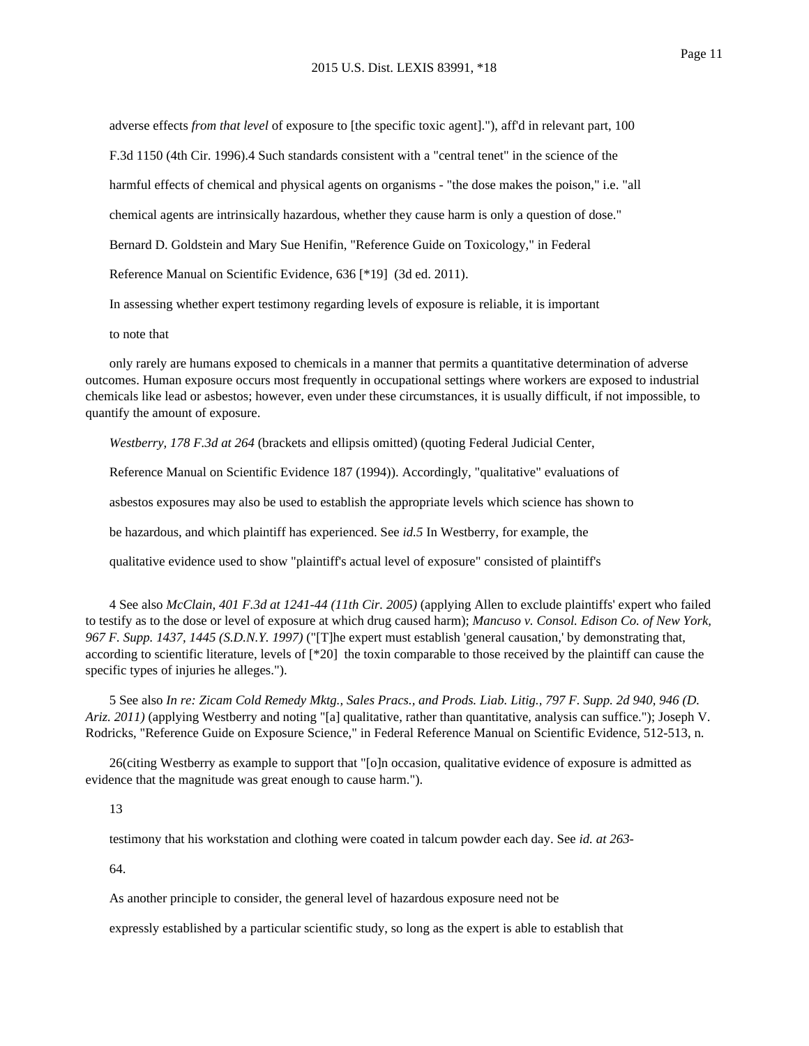adverse effects *from that level* of exposure to [the specific toxic agent]."), aff'd in relevant part, 100 F.3d 1150 (4th Cir. 1996).4 Such standards consistent with a "central tenet" in the science of the harmful effects of chemical and physical agents on organisms - "the dose makes the poison," i.e. "all chemical agents are intrinsically hazardous, whether they cause harm is only a question of dose." Bernard D. Goldstein and Mary Sue Henifin, "Reference Guide on Toxicology," in Federal Reference Manual on Scientific Evidence, 636 [\*19] (3d ed. 2011). In assessing whether expert testimony regarding levels of exposure is reliable, it is important

to note that

only rarely are humans exposed to chemicals in a manner that permits a quantitative determination of adverse outcomes. Human exposure occurs most frequently in occupational settings where workers are exposed to industrial chemicals like lead or asbestos; however, even under these circumstances, it is usually difficult, if not impossible, to quantify the amount of exposure.

*Westberry, 178 F.3d at 264* (brackets and ellipsis omitted) (quoting Federal Judicial Center,

Reference Manual on Scientific Evidence 187 (1994)). Accordingly, "qualitative" evaluations of

asbestos exposures may also be used to establish the appropriate levels which science has shown to

be hazardous, and which plaintiff has experienced. See *id.5* In Westberry, for example, the

qualitative evidence used to show "plaintiff's actual level of exposure" consisted of plaintiff's

4 See also *McClain, 401 F.3d at 1241-44 (11th Cir. 2005)* (applying Allen to exclude plaintiffs' expert who failed to testify as to the dose or level of exposure at which drug caused harm); *Mancuso v. Consol. Edison Co. of New York, 967 F. Supp. 1437, 1445 (S.D.N.Y. 1997)* ("[T]he expert must establish 'general causation,' by demonstrating that, according to scientific literature, levels of [\*20] the toxin comparable to those received by the plaintiff can cause the specific types of injuries he alleges.").

5 See also *In re: Zicam Cold Remedy Mktg., Sales Pracs., and Prods. Liab. Litig., 797 F. Supp. 2d 940, 946 (D. Ariz. 2011)* (applying Westberry and noting "[a] qualitative, rather than quantitative, analysis can suffice."); Joseph V. Rodricks, "Reference Guide on Exposure Science," in Federal Reference Manual on Scientific Evidence, 512-513, n.

26(citing Westberry as example to support that "[o]n occasion, qualitative evidence of exposure is admitted as evidence that the magnitude was great enough to cause harm.").

13

testimony that his workstation and clothing were coated in talcum powder each day. See *id. at 263*-

64.

As another principle to consider, the general level of hazardous exposure need not be

expressly established by a particular scientific study, so long as the expert is able to establish that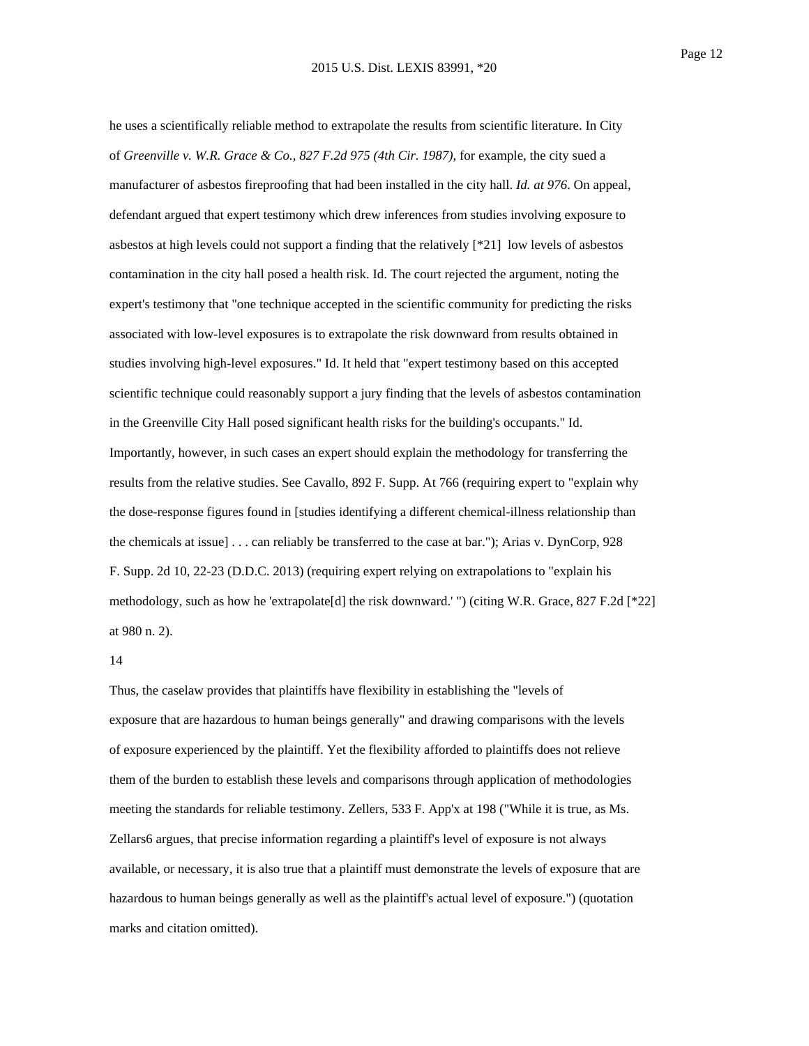he uses a scientifically reliable method to extrapolate the results from scientific literature. In City of *Greenville v. W.R. Grace & Co., 827 F.2d 975 (4th Cir. 1987)*, for example, the city sued a manufacturer of asbestos fireproofing that had been installed in the city hall. *Id. at 976*. On appeal, defendant argued that expert testimony which drew inferences from studies involving exposure to asbestos at high levels could not support a finding that the relatively [\*21] low levels of asbestos contamination in the city hall posed a health risk. Id. The court rejected the argument, noting the expert's testimony that "one technique accepted in the scientific community for predicting the risks associated with low-level exposures is to extrapolate the risk downward from results obtained in studies involving high-level exposures." Id. It held that "expert testimony based on this accepted scientific technique could reasonably support a jury finding that the levels of asbestos contamination in the Greenville City Hall posed significant health risks for the building's occupants." Id. Importantly, however, in such cases an expert should explain the methodology for transferring the results from the relative studies. See Cavallo, 892 F. Supp. At 766 (requiring expert to "explain why the dose-response figures found in [studies identifying a different chemical-illness relationship than the chemicals at issue] . . . can reliably be transferred to the case at bar."); Arias v. DynCorp, 928 F. Supp. 2d 10, 22-23 (D.D.C. 2013) (requiring expert relying on extrapolations to "explain his methodology, such as how he 'extrapolate[d] the risk downward.' ") (citing W.R. Grace, 827 F.2d [\*22] at 980 n. 2).

### 14

Thus, the caselaw provides that plaintiffs have flexibility in establishing the "levels of exposure that are hazardous to human beings generally" and drawing comparisons with the levels of exposure experienced by the plaintiff. Yet the flexibility afforded to plaintiffs does not relieve them of the burden to establish these levels and comparisons through application of methodologies meeting the standards for reliable testimony. Zellers, 533 F. App'x at 198 ("While it is true, as Ms. Zellars6 argues, that precise information regarding a plaintiff's level of exposure is not always available, or necessary, it is also true that a plaintiff must demonstrate the levels of exposure that are hazardous to human beings generally as well as the plaintiff's actual level of exposure.") (quotation marks and citation omitted).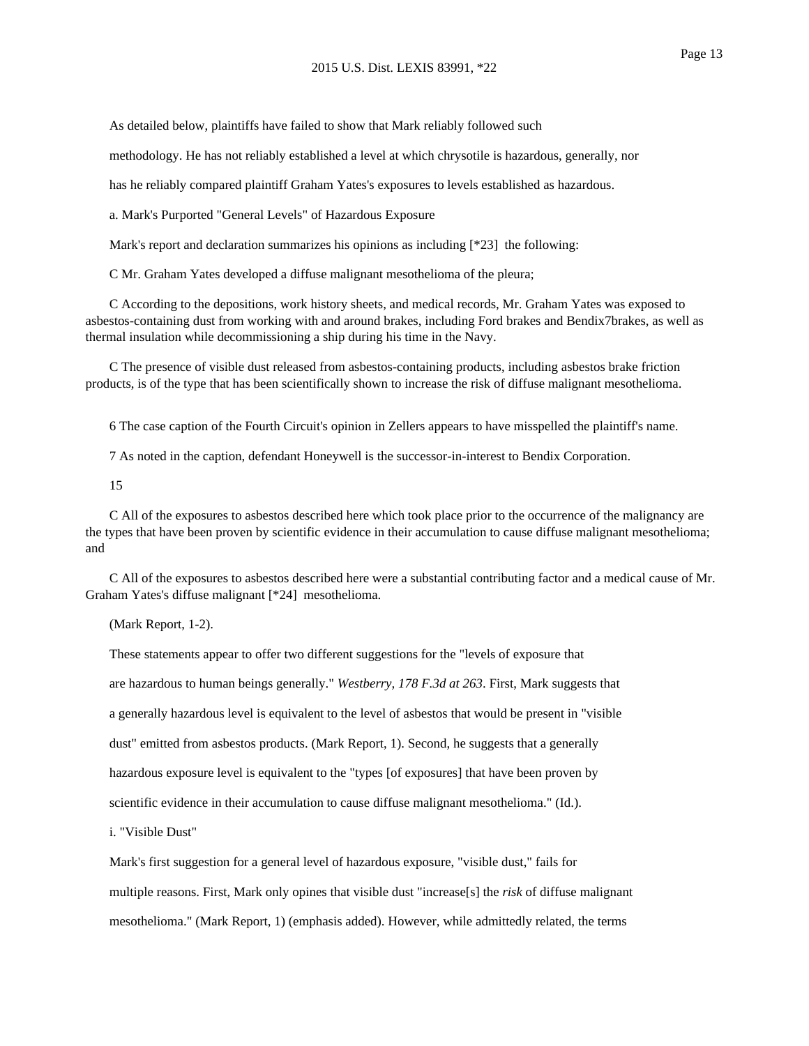As detailed below, plaintiffs have failed to show that Mark reliably followed such

methodology. He has not reliably established a level at which chrysotile is hazardous, generally, nor

has he reliably compared plaintiff Graham Yates's exposures to levels established as hazardous.

a. Mark's Purported "General Levels" of Hazardous Exposure

Mark's report and declaration summarizes his opinions as including  $[*23]$  the following:

C Mr. Graham Yates developed a diffuse malignant mesothelioma of the pleura;

C According to the depositions, work history sheets, and medical records, Mr. Graham Yates was exposed to asbestos-containing dust from working with and around brakes, including Ford brakes and Bendix7brakes, as well as thermal insulation while decommissioning a ship during his time in the Navy.

C The presence of visible dust released from asbestos-containing products, including asbestos brake friction products, is of the type that has been scientifically shown to increase the risk of diffuse malignant mesothelioma.

6 The case caption of the Fourth Circuit's opinion in Zellers appears to have misspelled the plaintiff's name.

7 As noted in the caption, defendant Honeywell is the successor-in-interest to Bendix Corporation.

15

C All of the exposures to asbestos described here which took place prior to the occurrence of the malignancy are the types that have been proven by scientific evidence in their accumulation to cause diffuse malignant mesothelioma; and

C All of the exposures to asbestos described here were a substantial contributing factor and a medical cause of Mr. Graham Yates's diffuse malignant [\*24] mesothelioma.

(Mark Report, 1-2).

These statements appear to offer two different suggestions for the "levels of exposure that

are hazardous to human beings generally." *Westberry, 178 F.3d at 263*. First, Mark suggests that

a generally hazardous level is equivalent to the level of asbestos that would be present in "visible

dust" emitted from asbestos products. (Mark Report, 1). Second, he suggests that a generally

hazardous exposure level is equivalent to the "types [of exposures] that have been proven by

scientific evidence in their accumulation to cause diffuse malignant mesothelioma." (Id.).

i. "Visible Dust"

Mark's first suggestion for a general level of hazardous exposure, "visible dust," fails for

multiple reasons. First, Mark only opines that visible dust "increase[s] the *risk* of diffuse malignant

mesothelioma." (Mark Report, 1) (emphasis added). However, while admittedly related, the terms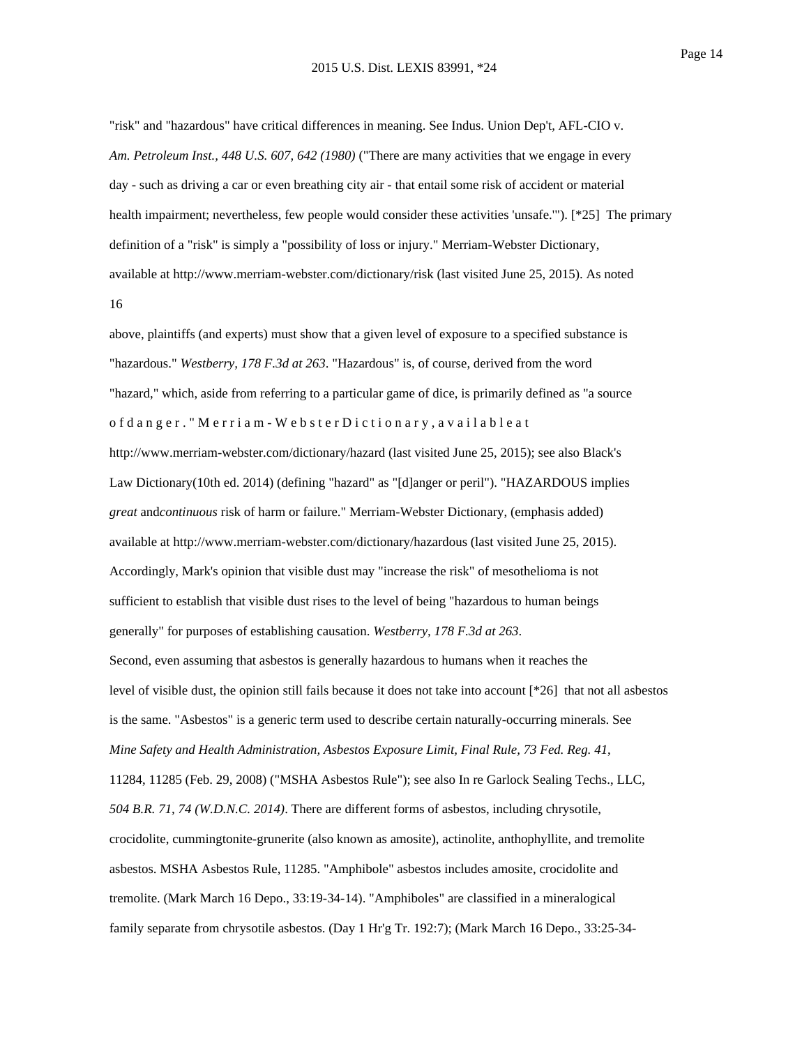"risk" and "hazardous" have critical differences in meaning. See Indus. Union Dep't, AFL-CIO v. *Am. Petroleum Inst., 448 U.S. 607, 642 (1980)* ("There are many activities that we engage in every day - such as driving a car or even breathing city air - that entail some risk of accident or material health impairment; nevertheless, few people would consider these activities 'unsafe."). [\*25] The primary definition of a "risk" is simply a "possibility of loss or injury." Merriam-Webster Dictionary, available at http://www.merriam-webster.com/dictionary/risk (last visited June 25, 2015). As noted 16

above, plaintiffs (and experts) must show that a given level of exposure to a specified substance is "hazardous." *Westberry, 178 F.3d at 263*. "Hazardous" is, of course, derived from the word "hazard," which, aside from referring to a particular game of dice, is primarily defined as "a source ofdanger." Merriam - Webster Dictionary, available at

http://www.merriam-webster.com/dictionary/hazard (last visited June 25, 2015); see also Black's Law Dictionary(10th ed. 2014) (defining "hazard" as "[d]anger or peril"). "HAZARDOUS implies *great* and*continuous* risk of harm or failure." Merriam-Webster Dictionary, (emphasis added) available at http://www.merriam-webster.com/dictionary/hazardous (last visited June 25, 2015). Accordingly, Mark's opinion that visible dust may "increase the risk" of mesothelioma is not sufficient to establish that visible dust rises to the level of being "hazardous to human beings generally" for purposes of establishing causation. *Westberry, 178 F.3d at 263*.

Second, even assuming that asbestos is generally hazardous to humans when it reaches the level of visible dust, the opinion still fails because it does not take into account [\*26] that not all asbestos is the same. "Asbestos" is a generic term used to describe certain naturally-occurring minerals. See *Mine Safety and Health Administration, Asbestos Exposure Limit, Final Rule, 73 Fed. Reg. 41*,

11284, 11285 (Feb. 29, 2008) ("MSHA Asbestos Rule"); see also In re Garlock Sealing Techs., LLC, *504 B.R. 71, 74 (W.D.N.C. 2014)*. There are different forms of asbestos, including chrysotile, crocidolite, cummingtonite-grunerite (also known as amosite), actinolite, anthophyllite, and tremolite asbestos. MSHA Asbestos Rule, 11285. "Amphibole" asbestos includes amosite, crocidolite and tremolite. (Mark March 16 Depo., 33:19-34-14). "Amphiboles" are classified in a mineralogical family separate from chrysotile asbestos. (Day 1 Hr'g Tr. 192:7); (Mark March 16 Depo., 33:25-34-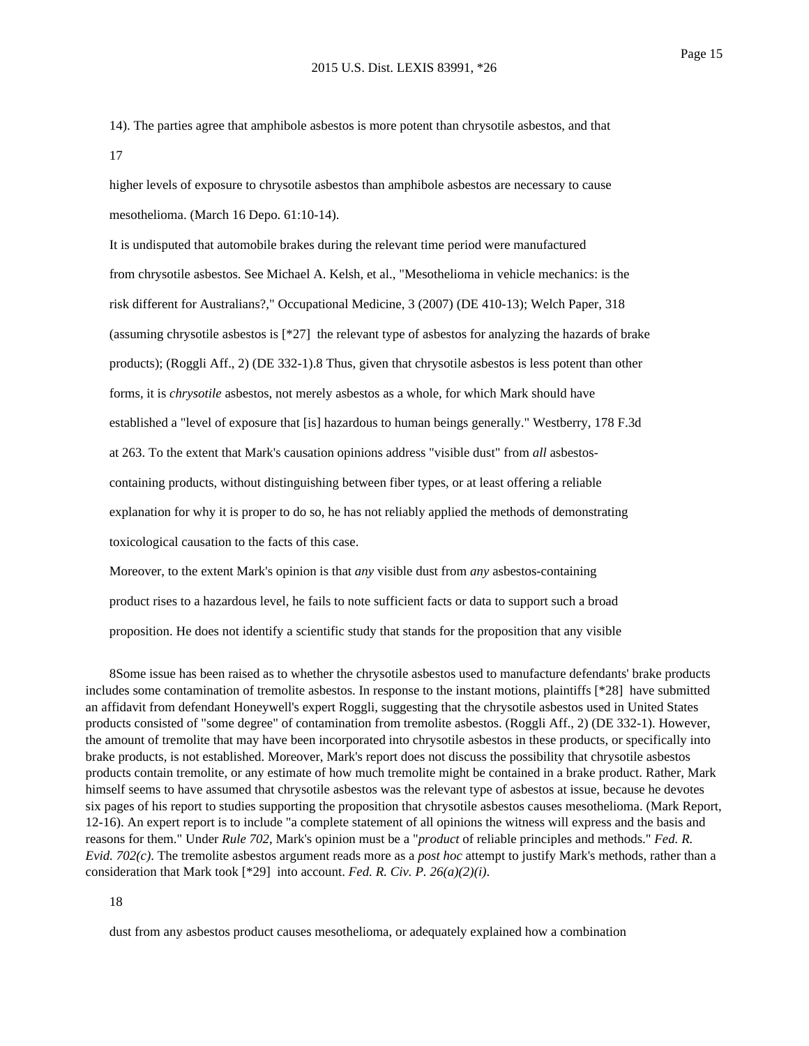14). The parties agree that amphibole asbestos is more potent than chrysotile asbestos, and that 17

higher levels of exposure to chrysotile asbestos than amphibole asbestos are necessary to cause mesothelioma. (March 16 Depo. 61:10-14).

It is undisputed that automobile brakes during the relevant time period were manufactured from chrysotile asbestos. See Michael A. Kelsh, et al., "Mesothelioma in vehicle mechanics: is the risk different for Australians?," Occupational Medicine, 3 (2007) (DE 410-13); Welch Paper, 318 (assuming chrysotile asbestos is [\*27] the relevant type of asbestos for analyzing the hazards of brake products); (Roggli Aff., 2) (DE 332-1).8 Thus, given that chrysotile asbestos is less potent than other forms, it is *chrysotile* asbestos, not merely asbestos as a whole, for which Mark should have established a "level of exposure that [is] hazardous to human beings generally." Westberry, 178 F.3d at 263. To the extent that Mark's causation opinions address "visible dust" from *all* asbestoscontaining products, without distinguishing between fiber types, or at least offering a reliable explanation for why it is proper to do so, he has not reliably applied the methods of demonstrating toxicological causation to the facts of this case.

Moreover, to the extent Mark's opinion is that *any* visible dust from *any* asbestos-containing product rises to a hazardous level, he fails to note sufficient facts or data to support such a broad proposition. He does not identify a scientific study that stands for the proposition that any visible

8Some issue has been raised as to whether the chrysotile asbestos used to manufacture defendants' brake products includes some contamination of tremolite asbestos. In response to the instant motions, plaintiffs [\*28] have submitted an affidavit from defendant Honeywell's expert Roggli, suggesting that the chrysotile asbestos used in United States products consisted of "some degree" of contamination from tremolite asbestos. (Roggli Aff., 2) (DE 332-1). However, the amount of tremolite that may have been incorporated into chrysotile asbestos in these products, or specifically into brake products, is not established. Moreover, Mark's report does not discuss the possibility that chrysotile asbestos products contain tremolite, or any estimate of how much tremolite might be contained in a brake product. Rather, Mark himself seems to have assumed that chrysotile asbestos was the relevant type of asbestos at issue, because he devotes six pages of his report to studies supporting the proposition that chrysotile asbestos causes mesothelioma. (Mark Report, 12-16). An expert report is to include "a complete statement of all opinions the witness will express and the basis and reasons for them." Under *Rule 702*, Mark's opinion must be a "*product* of reliable principles and methods." *Fed. R. Evid. 702(c)*. The tremolite asbestos argument reads more as a *post hoc* attempt to justify Mark's methods, rather than a consideration that Mark took [\*29] into account. *Fed. R. Civ. P. 26(a)(2)(i)*.

# 18

dust from any asbestos product causes mesothelioma, or adequately explained how a combination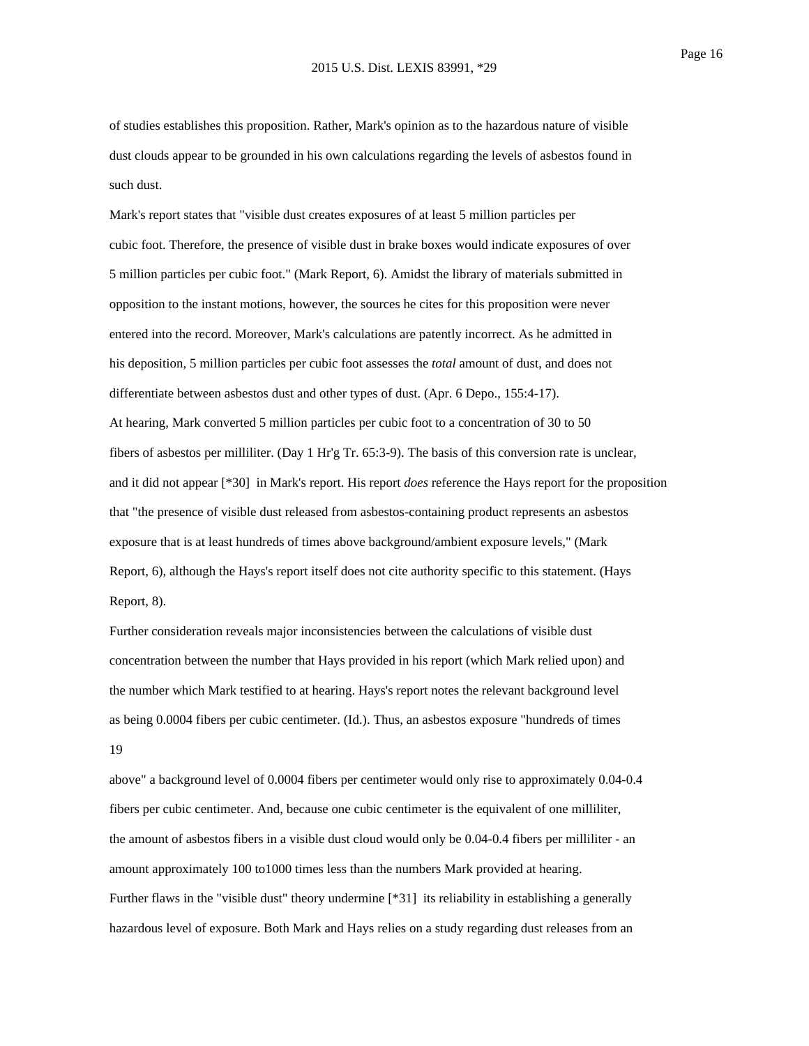of studies establishes this proposition. Rather, Mark's opinion as to the hazardous nature of visible dust clouds appear to be grounded in his own calculations regarding the levels of asbestos found in such dust.

Mark's report states that "visible dust creates exposures of at least 5 million particles per cubic foot. Therefore, the presence of visible dust in brake boxes would indicate exposures of over 5 million particles per cubic foot." (Mark Report, 6). Amidst the library of materials submitted in opposition to the instant motions, however, the sources he cites for this proposition were never entered into the record. Moreover, Mark's calculations are patently incorrect. As he admitted in his deposition, 5 million particles per cubic foot assesses the *total* amount of dust, and does not differentiate between asbestos dust and other types of dust. (Apr. 6 Depo., 155:4-17). At hearing, Mark converted 5 million particles per cubic foot to a concentration of 30 to 50 fibers of asbestos per milliliter. (Day 1 Hr'g Tr. 65:3-9). The basis of this conversion rate is unclear, and it did not appear [\*30] in Mark's report. His report *does* reference the Hays report for the proposition that "the presence of visible dust released from asbestos-containing product represents an asbestos exposure that is at least hundreds of times above background/ambient exposure levels," (Mark Report, 6), although the Hays's report itself does not cite authority specific to this statement. (Hays Report, 8).

Further consideration reveals major inconsistencies between the calculations of visible dust concentration between the number that Hays provided in his report (which Mark relied upon) and the number which Mark testified to at hearing. Hays's report notes the relevant background level as being 0.0004 fibers per cubic centimeter. (Id.). Thus, an asbestos exposure "hundreds of times 19

above" a background level of 0.0004 fibers per centimeter would only rise to approximately 0.04-0.4 fibers per cubic centimeter. And, because one cubic centimeter is the equivalent of one milliliter, the amount of asbestos fibers in a visible dust cloud would only be 0.04-0.4 fibers per milliliter - an amount approximately 100 to1000 times less than the numbers Mark provided at hearing. Further flaws in the "visible dust" theory undermine [\*31] its reliability in establishing a generally hazardous level of exposure. Both Mark and Hays relies on a study regarding dust releases from an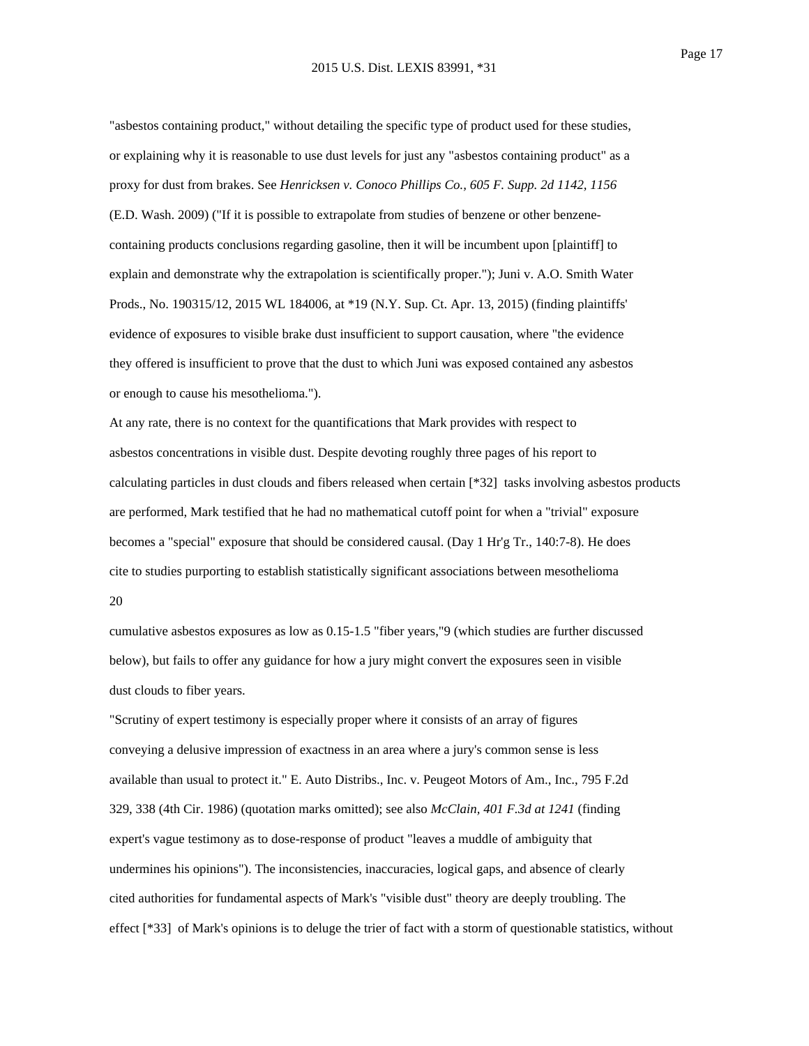"asbestos containing product," without detailing the specific type of product used for these studies, or explaining why it is reasonable to use dust levels for just any "asbestos containing product" as a proxy for dust from brakes. See *Henricksen v. Conoco Phillips Co., 605 F. Supp. 2d 1142, 1156* (E.D. Wash. 2009) ("If it is possible to extrapolate from studies of benzene or other benzenecontaining products conclusions regarding gasoline, then it will be incumbent upon [plaintiff] to explain and demonstrate why the extrapolation is scientifically proper."); Juni v. A.O. Smith Water Prods., No. 190315/12, 2015 WL 184006, at \*19 (N.Y. Sup. Ct. Apr. 13, 2015) (finding plaintiffs' evidence of exposures to visible brake dust insufficient to support causation, where "the evidence they offered is insufficient to prove that the dust to which Juni was exposed contained any asbestos

or enough to cause his mesothelioma.").

At any rate, there is no context for the quantifications that Mark provides with respect to asbestos concentrations in visible dust. Despite devoting roughly three pages of his report to calculating particles in dust clouds and fibers released when certain [\*32] tasks involving asbestos products are performed, Mark testified that he had no mathematical cutoff point for when a "trivial" exposure becomes a "special" exposure that should be considered causal. (Day 1 Hr'g Tr., 140:7-8). He does cite to studies purporting to establish statistically significant associations between mesothelioma 20

cumulative asbestos exposures as low as 0.15-1.5 "fiber years,"9 (which studies are further discussed below), but fails to offer any guidance for how a jury might convert the exposures seen in visible dust clouds to fiber years.

"Scrutiny of expert testimony is especially proper where it consists of an array of figures conveying a delusive impression of exactness in an area where a jury's common sense is less available than usual to protect it." E. Auto Distribs., Inc. v. Peugeot Motors of Am., Inc., 795 F.2d 329, 338 (4th Cir. 1986) (quotation marks omitted); see also *McClain, 401 F.3d at 1241* (finding expert's vague testimony as to dose-response of product "leaves a muddle of ambiguity that undermines his opinions"). The inconsistencies, inaccuracies, logical gaps, and absence of clearly cited authorities for fundamental aspects of Mark's "visible dust" theory are deeply troubling. The effect [\*33] of Mark's opinions is to deluge the trier of fact with a storm of questionable statistics, without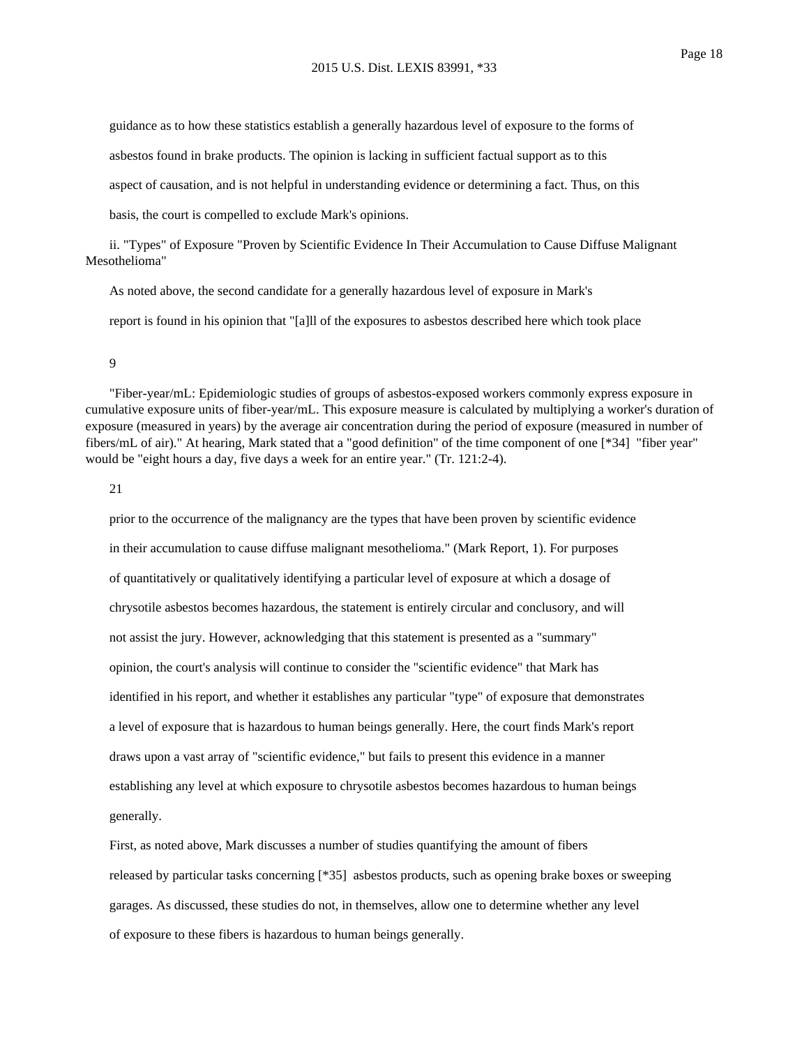guidance as to how these statistics establish a generally hazardous level of exposure to the forms of

asbestos found in brake products. The opinion is lacking in sufficient factual support as to this

aspect of causation, and is not helpful in understanding evidence or determining a fact. Thus, on this

basis, the court is compelled to exclude Mark's opinions.

ii. "Types" of Exposure "Proven by Scientific Evidence In Their Accumulation to Cause Diffuse Malignant Mesothelioma"

As noted above, the second candidate for a generally hazardous level of exposure in Mark's

report is found in his opinion that "[a]ll of the exposures to asbestos described here which took place

## 9

"Fiber-year/mL: Epidemiologic studies of groups of asbestos-exposed workers commonly express exposure in cumulative exposure units of fiber-year/mL. This exposure measure is calculated by multiplying a worker's duration of exposure (measured in years) by the average air concentration during the period of exposure (measured in number of fibers/mL of air)." At hearing, Mark stated that a "good definition" of the time component of one [\*34] "fiber year" would be "eight hours a day, five days a week for an entire year." (Tr. 121:2-4).

## 21

prior to the occurrence of the malignancy are the types that have been proven by scientific evidence in their accumulation to cause diffuse malignant mesothelioma." (Mark Report, 1). For purposes of quantitatively or qualitatively identifying a particular level of exposure at which a dosage of chrysotile asbestos becomes hazardous, the statement is entirely circular and conclusory, and will not assist the jury. However, acknowledging that this statement is presented as a "summary" opinion, the court's analysis will continue to consider the "scientific evidence" that Mark has identified in his report, and whether it establishes any particular "type" of exposure that demonstrates a level of exposure that is hazardous to human beings generally. Here, the court finds Mark's report draws upon a vast array of "scientific evidence," but fails to present this evidence in a manner establishing any level at which exposure to chrysotile asbestos becomes hazardous to human beings generally.

First, as noted above, Mark discusses a number of studies quantifying the amount of fibers released by particular tasks concerning [\*35] asbestos products, such as opening brake boxes or sweeping garages. As discussed, these studies do not, in themselves, allow one to determine whether any level of exposure to these fibers is hazardous to human beings generally.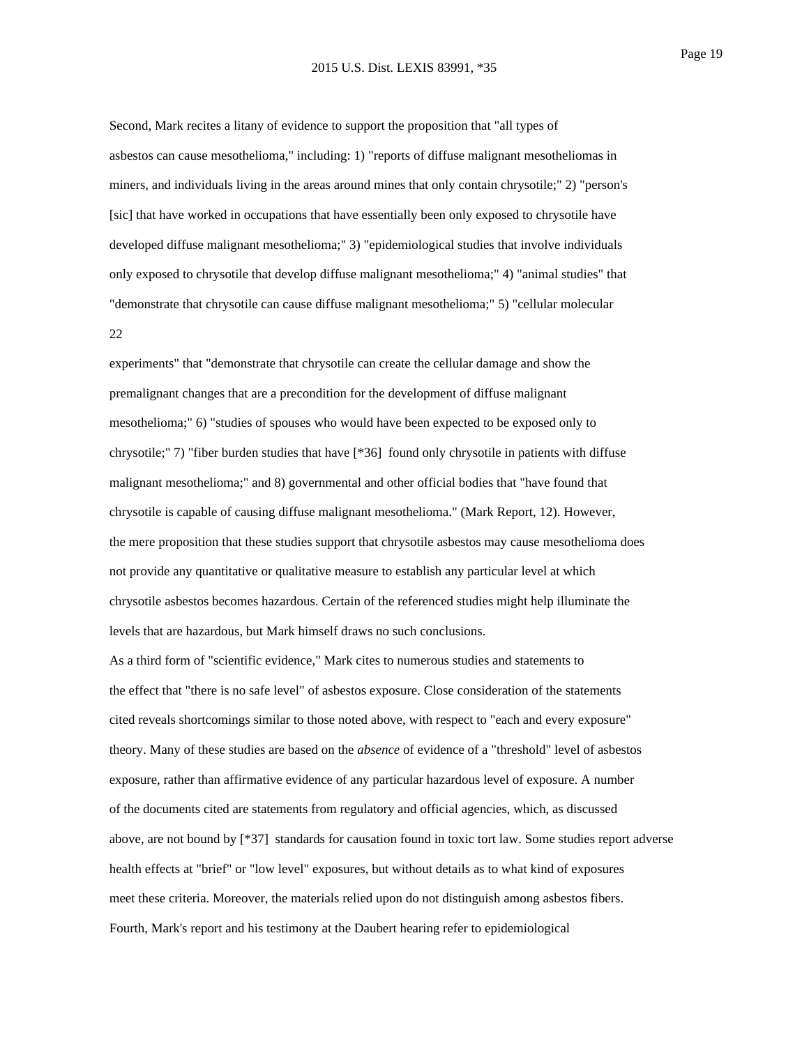Second, Mark recites a litany of evidence to support the proposition that "all types of asbestos can cause mesothelioma," including: 1) "reports of diffuse malignant mesotheliomas in miners, and individuals living in the areas around mines that only contain chrysotile;" 2) "person's [sic] that have worked in occupations that have essentially been only exposed to chrysotile have developed diffuse malignant mesothelioma;" 3) "epidemiological studies that involve individuals only exposed to chrysotile that develop diffuse malignant mesothelioma;" 4) "animal studies" that "demonstrate that chrysotile can cause diffuse malignant mesothelioma;" 5) "cellular molecular 22

experiments" that "demonstrate that chrysotile can create the cellular damage and show the premalignant changes that are a precondition for the development of diffuse malignant mesothelioma;" 6) "studies of spouses who would have been expected to be exposed only to chrysotile;" 7) "fiber burden studies that have [\*36] found only chrysotile in patients with diffuse malignant mesothelioma;" and 8) governmental and other official bodies that "have found that chrysotile is capable of causing diffuse malignant mesothelioma." (Mark Report, 12). However, the mere proposition that these studies support that chrysotile asbestos may cause mesothelioma does not provide any quantitative or qualitative measure to establish any particular level at which chrysotile asbestos becomes hazardous. Certain of the referenced studies might help illuminate the levels that are hazardous, but Mark himself draws no such conclusions.

As a third form of "scientific evidence," Mark cites to numerous studies and statements to the effect that "there is no safe level" of asbestos exposure. Close consideration of the statements cited reveals shortcomings similar to those noted above, with respect to "each and every exposure" theory. Many of these studies are based on the *absence* of evidence of a "threshold" level of asbestos exposure, rather than affirmative evidence of any particular hazardous level of exposure. A number of the documents cited are statements from regulatory and official agencies, which, as discussed above, are not bound by [\*37] standards for causation found in toxic tort law. Some studies report adverse health effects at "brief" or "low level" exposures, but without details as to what kind of exposures meet these criteria. Moreover, the materials relied upon do not distinguish among asbestos fibers. Fourth, Mark's report and his testimony at the Daubert hearing refer to epidemiological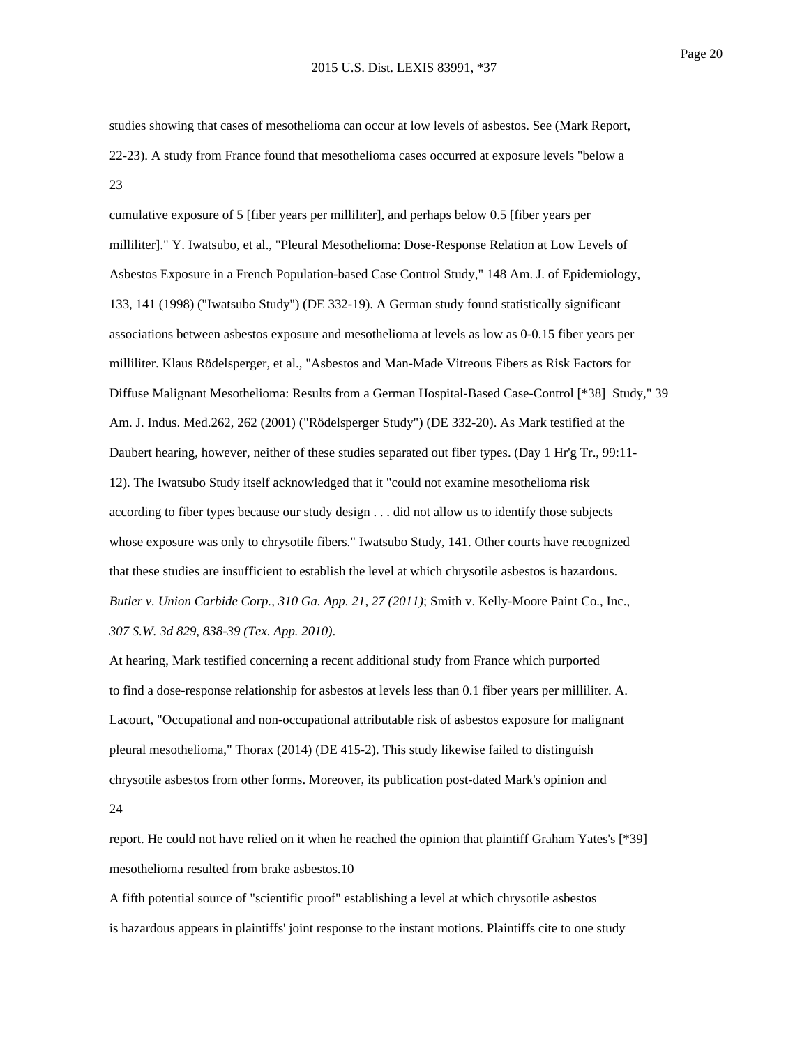studies showing that cases of mesothelioma can occur at low levels of asbestos. See (Mark Report, 22-23). A study from France found that mesothelioma cases occurred at exposure levels "below a 23

cumulative exposure of 5 [fiber years per milliliter], and perhaps below 0.5 [fiber years per milliliter]." Y. Iwatsubo, et al., "Pleural Mesothelioma: Dose-Response Relation at Low Levels of Asbestos Exposure in a French Population-based Case Control Study," 148 Am. J. of Epidemiology, 133, 141 (1998) ("Iwatsubo Study") (DE 332-19). A German study found statistically significant associations between asbestos exposure and mesothelioma at levels as low as 0-0.15 fiber years per milliliter. Klaus Rödelsperger, et al., "Asbestos and Man-Made Vitreous Fibers as Risk Factors for Diffuse Malignant Mesothelioma: Results from a German Hospital-Based Case-Control [\*38] Study," 39 Am. J. Indus. Med.262, 262 (2001) ("Rödelsperger Study") (DE 332-20). As Mark testified at the Daubert hearing, however, neither of these studies separated out fiber types. (Day 1 Hr'g Tr., 99:11- 12). The Iwatsubo Study itself acknowledged that it "could not examine mesothelioma risk according to fiber types because our study design . . . did not allow us to identify those subjects whose exposure was only to chrysotile fibers." Iwatsubo Study, 141. Other courts have recognized that these studies are insufficient to establish the level at which chrysotile asbestos is hazardous. *Butler v. Union Carbide Corp., 310 Ga. App. 21, 27 (2011)*; Smith v. Kelly-Moore Paint Co., Inc., *307 S.W. 3d 829, 838-39 (Tex. App. 2010)*.

At hearing, Mark testified concerning a recent additional study from France which purported to find a dose-response relationship for asbestos at levels less than 0.1 fiber years per milliliter. A. Lacourt, "Occupational and non-occupational attributable risk of asbestos exposure for malignant pleural mesothelioma," Thorax (2014) (DE 415-2). This study likewise failed to distinguish chrysotile asbestos from other forms. Moreover, its publication post-dated Mark's opinion and 24

report. He could not have relied on it when he reached the opinion that plaintiff Graham Yates's [\*39] mesothelioma resulted from brake asbestos.10

A fifth potential source of "scientific proof" establishing a level at which chrysotile asbestos is hazardous appears in plaintiffs' joint response to the instant motions. Plaintiffs cite to one study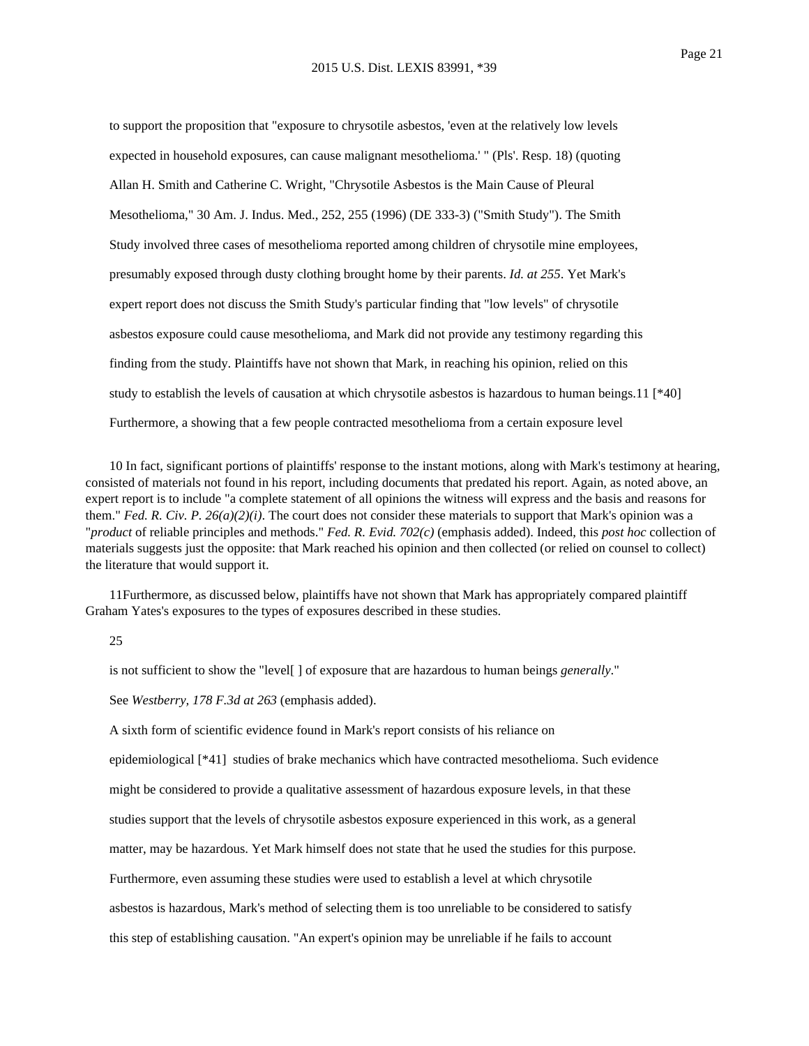to support the proposition that "exposure to chrysotile asbestos, 'even at the relatively low levels expected in household exposures, can cause malignant mesothelioma.' " (Pls'. Resp. 18) (quoting Allan H. Smith and Catherine C. Wright, "Chrysotile Asbestos is the Main Cause of Pleural Mesothelioma," 30 Am. J. Indus. Med., 252, 255 (1996) (DE 333-3) ("Smith Study"). The Smith Study involved three cases of mesothelioma reported among children of chrysotile mine employees, presumably exposed through dusty clothing brought home by their parents. *Id. at 255*. Yet Mark's expert report does not discuss the Smith Study's particular finding that "low levels" of chrysotile asbestos exposure could cause mesothelioma, and Mark did not provide any testimony regarding this finding from the study. Plaintiffs have not shown that Mark, in reaching his opinion, relied on this study to establish the levels of causation at which chrysotile asbestos is hazardous to human beings.11 [\*40] Furthermore, a showing that a few people contracted mesothelioma from a certain exposure level

10 In fact, significant portions of plaintiffs' response to the instant motions, along with Mark's testimony at hearing, consisted of materials not found in his report, including documents that predated his report. Again, as noted above, an expert report is to include "a complete statement of all opinions the witness will express and the basis and reasons for them." *Fed. R. Civ. P.* 26(a)(2)(i). The court does not consider these materials to support that Mark's opinion was a "*product* of reliable principles and methods." *Fed. R. Evid. 702(c)* (emphasis added). Indeed, this *post hoc* collection of materials suggests just the opposite: that Mark reached his opinion and then collected (or relied on counsel to collect) the literature that would support it.

11Furthermore, as discussed below, plaintiffs have not shown that Mark has appropriately compared plaintiff Graham Yates's exposures to the types of exposures described in these studies.

25

is not sufficient to show the "level[ ] of exposure that are hazardous to human beings *generally*."

See *Westberry, 178 F.3d at 263* (emphasis added).

A sixth form of scientific evidence found in Mark's report consists of his reliance on

epidemiological [\*41] studies of brake mechanics which have contracted mesothelioma. Such evidence

might be considered to provide a qualitative assessment of hazardous exposure levels, in that these

studies support that the levels of chrysotile asbestos exposure experienced in this work, as a general

matter, may be hazardous. Yet Mark himself does not state that he used the studies for this purpose.

Furthermore, even assuming these studies were used to establish a level at which chrysotile

asbestos is hazardous, Mark's method of selecting them is too unreliable to be considered to satisfy

this step of establishing causation. "An expert's opinion may be unreliable if he fails to account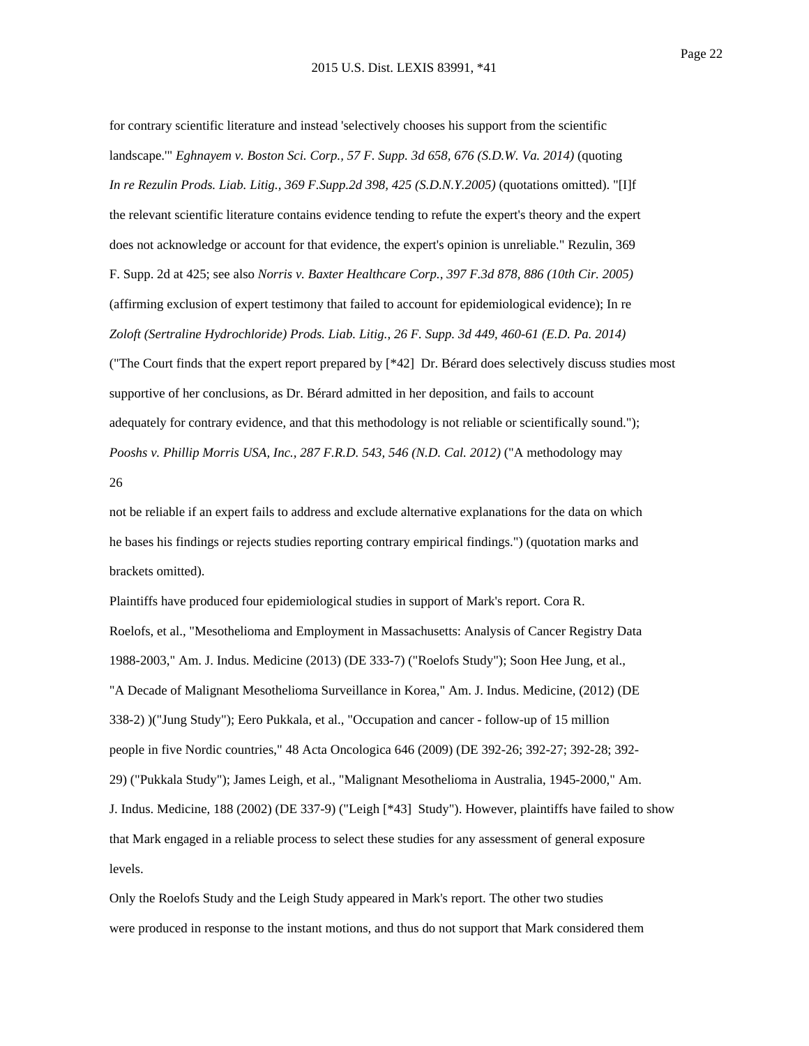for contrary scientific literature and instead 'selectively chooses his support from the scientific landscape.'" *Eghnayem v. Boston Sci. Corp., 57 F. Supp. 3d 658, 676 (S.D.W. Va. 2014)* (quoting *In re Rezulin Prods. Liab. Litig., 369 F.Supp.2d 398, 425 (S.D.N.Y.2005)* (quotations omitted). "[I]f the relevant scientific literature contains evidence tending to refute the expert's theory and the expert does not acknowledge or account for that evidence, the expert's opinion is unreliable." Rezulin, 369 F. Supp. 2d at 425; see also *Norris v. Baxter Healthcare Corp., 397 F.3d 878, 886 (10th Cir. 2005)* (affirming exclusion of expert testimony that failed to account for epidemiological evidence); In re *Zoloft (Sertraline Hydrochloride) Prods. Liab. Litig., 26 F. Supp. 3d 449, 460-61 (E.D. Pa. 2014)* ("The Court finds that the expert report prepared by [\*42] Dr. Bérard does selectively discuss studies most supportive of her conclusions, as Dr. Bérard admitted in her deposition, and fails to account adequately for contrary evidence, and that this methodology is not reliable or scientifically sound.");

*Pooshs v. Phillip Morris USA, Inc., 287 F.R.D. 543, 546 (N.D. Cal. 2012)* ("A methodology may 26

not be reliable if an expert fails to address and exclude alternative explanations for the data on which he bases his findings or rejects studies reporting contrary empirical findings.") (quotation marks and brackets omitted).

Plaintiffs have produced four epidemiological studies in support of Mark's report. Cora R. Roelofs, et al., "Mesothelioma and Employment in Massachusetts: Analysis of Cancer Registry Data 1988-2003," Am. J. Indus. Medicine (2013) (DE 333-7) ("Roelofs Study"); Soon Hee Jung, et al., "A Decade of Malignant Mesothelioma Surveillance in Korea," Am. J. Indus. Medicine, (2012) (DE 338-2) )("Jung Study"); Eero Pukkala, et al., "Occupation and cancer - follow-up of 15 million people in five Nordic countries," 48 Acta Oncologica 646 (2009) (DE 392-26; 392-27; 392-28; 392- 29) ("Pukkala Study"); James Leigh, et al., "Malignant Mesothelioma in Australia, 1945-2000," Am. J. Indus. Medicine, 188 (2002) (DE 337-9) ("Leigh [\*43] Study"). However, plaintiffs have failed to show that Mark engaged in a reliable process to select these studies for any assessment of general exposure levels.

Only the Roelofs Study and the Leigh Study appeared in Mark's report. The other two studies were produced in response to the instant motions, and thus do not support that Mark considered them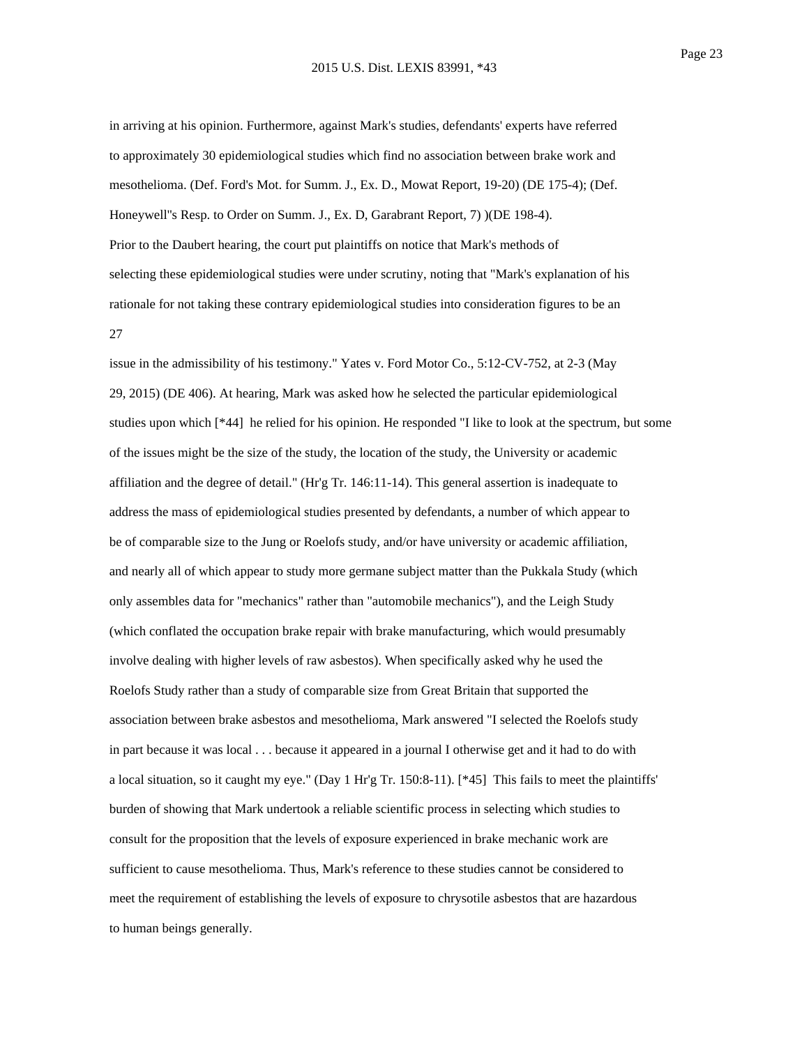in arriving at his opinion. Furthermore, against Mark's studies, defendants' experts have referred to approximately 30 epidemiological studies which find no association between brake work and mesothelioma. (Def. Ford's Mot. for Summ. J., Ex. D., Mowat Report, 19-20) (DE 175-4); (Def. Honeywell''s Resp. to Order on Summ. J., Ex. D, Garabrant Report, 7) )(DE 198-4). Prior to the Daubert hearing, the court put plaintiffs on notice that Mark's methods of selecting these epidemiological studies were under scrutiny, noting that "Mark's explanation of his rationale for not taking these contrary epidemiological studies into consideration figures to be an 27

issue in the admissibility of his testimony." Yates v. Ford Motor Co., 5:12-CV-752, at 2-3 (May 29, 2015) (DE 406). At hearing, Mark was asked how he selected the particular epidemiological studies upon which [\*44] he relied for his opinion. He responded "I like to look at the spectrum, but some of the issues might be the size of the study, the location of the study, the University or academic affiliation and the degree of detail." (Hr'g Tr. 146:11-14). This general assertion is inadequate to address the mass of epidemiological studies presented by defendants, a number of which appear to be of comparable size to the Jung or Roelofs study, and/or have university or academic affiliation, and nearly all of which appear to study more germane subject matter than the Pukkala Study (which only assembles data for "mechanics" rather than "automobile mechanics"), and the Leigh Study (which conflated the occupation brake repair with brake manufacturing, which would presumably involve dealing with higher levels of raw asbestos). When specifically asked why he used the Roelofs Study rather than a study of comparable size from Great Britain that supported the association between brake asbestos and mesothelioma, Mark answered "I selected the Roelofs study in part because it was local . . . because it appeared in a journal I otherwise get and it had to do with a local situation, so it caught my eye." (Day 1 Hr'g Tr. 150:8-11). [\*45] This fails to meet the plaintiffs' burden of showing that Mark undertook a reliable scientific process in selecting which studies to consult for the proposition that the levels of exposure experienced in brake mechanic work are sufficient to cause mesothelioma. Thus, Mark's reference to these studies cannot be considered to meet the requirement of establishing the levels of exposure to chrysotile asbestos that are hazardous to human beings generally.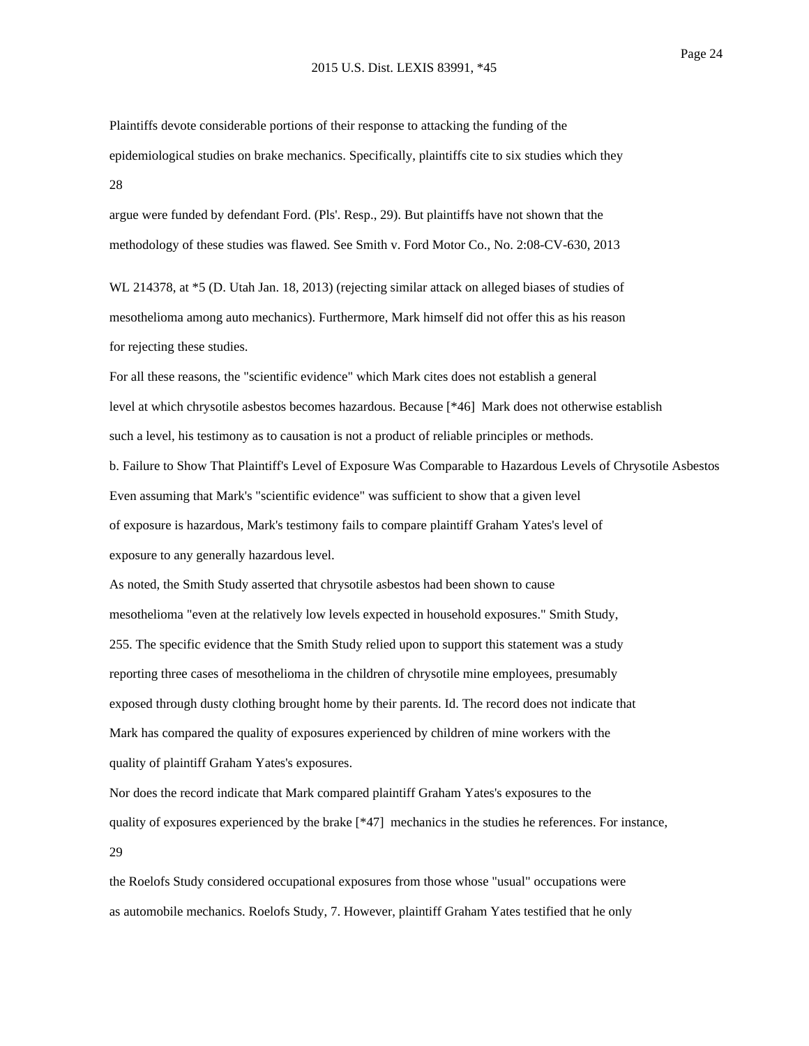Plaintiffs devote considerable portions of their response to attacking the funding of the epidemiological studies on brake mechanics. Specifically, plaintiffs cite to six studies which they 28

argue were funded by defendant Ford. (Pls'. Resp., 29). But plaintiffs have not shown that the methodology of these studies was flawed. See Smith v. Ford Motor Co., No. 2:08-CV-630, 2013

WL 214378, at \*5 (D. Utah Jan. 18, 2013) (rejecting similar attack on alleged biases of studies of mesothelioma among auto mechanics). Furthermore, Mark himself did not offer this as his reason for rejecting these studies.

For all these reasons, the "scientific evidence" which Mark cites does not establish a general level at which chrysotile asbestos becomes hazardous. Because [\*46] Mark does not otherwise establish such a level, his testimony as to causation is not a product of reliable principles or methods.

b. Failure to Show That Plaintiff's Level of Exposure Was Comparable to Hazardous Levels of Chrysotile Asbestos Even assuming that Mark's "scientific evidence" was sufficient to show that a given level of exposure is hazardous, Mark's testimony fails to compare plaintiff Graham Yates's level of exposure to any generally hazardous level.

As noted, the Smith Study asserted that chrysotile asbestos had been shown to cause mesothelioma "even at the relatively low levels expected in household exposures." Smith Study, 255. The specific evidence that the Smith Study relied upon to support this statement was a study reporting three cases of mesothelioma in the children of chrysotile mine employees, presumably exposed through dusty clothing brought home by their parents. Id. The record does not indicate that Mark has compared the quality of exposures experienced by children of mine workers with the quality of plaintiff Graham Yates's exposures.

Nor does the record indicate that Mark compared plaintiff Graham Yates's exposures to the quality of exposures experienced by the brake [\*47] mechanics in the studies he references. For instance, 29

the Roelofs Study considered occupational exposures from those whose "usual" occupations were as automobile mechanics. Roelofs Study, 7. However, plaintiff Graham Yates testified that he only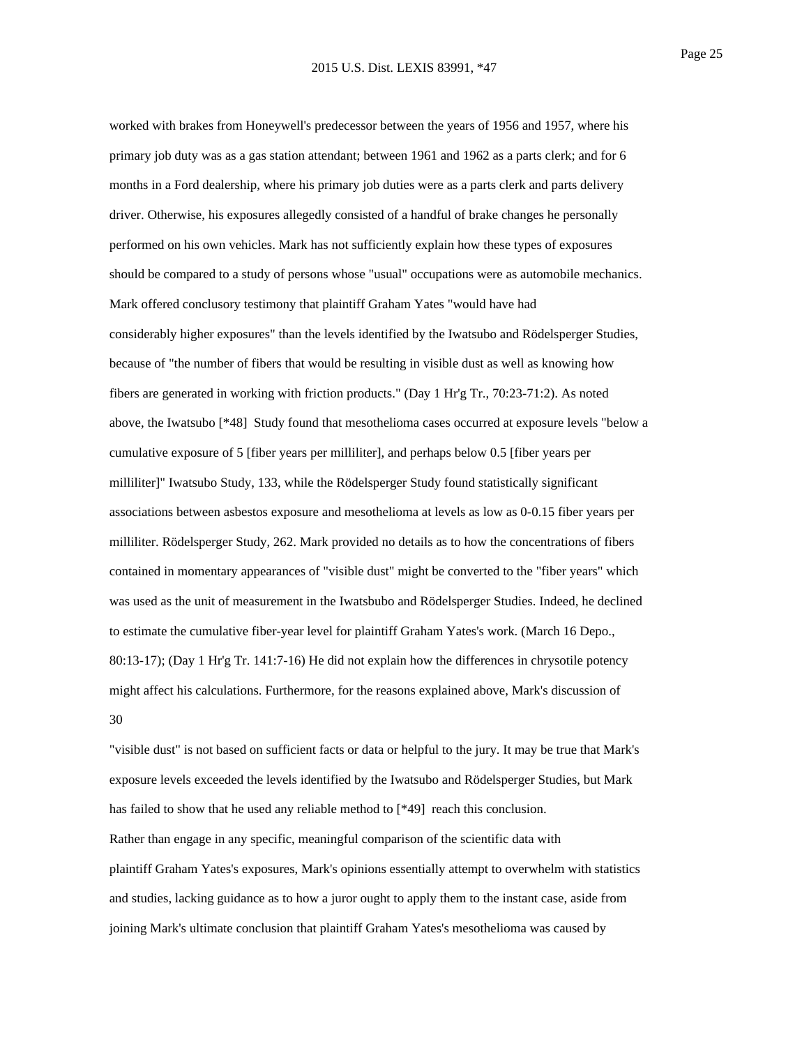worked with brakes from Honeywell's predecessor between the years of 1956 and 1957, where his primary job duty was as a gas station attendant; between 1961 and 1962 as a parts clerk; and for 6 months in a Ford dealership, where his primary job duties were as a parts clerk and parts delivery driver. Otherwise, his exposures allegedly consisted of a handful of brake changes he personally performed on his own vehicles. Mark has not sufficiently explain how these types of exposures should be compared to a study of persons whose "usual" occupations were as automobile mechanics. Mark offered conclusory testimony that plaintiff Graham Yates "would have had considerably higher exposures" than the levels identified by the Iwatsubo and Rödelsperger Studies, because of "the number of fibers that would be resulting in visible dust as well as knowing how fibers are generated in working with friction products." (Day 1 Hr'g Tr., 70:23-71:2). As noted above, the Iwatsubo [\*48] Study found that mesothelioma cases occurred at exposure levels "below a cumulative exposure of 5 [fiber years per milliliter], and perhaps below 0.5 [fiber years per milliliter]" Iwatsubo Study, 133, while the Rödelsperger Study found statistically significant associations between asbestos exposure and mesothelioma at levels as low as 0-0.15 fiber years per milliliter. Rödelsperger Study, 262. Mark provided no details as to how the concentrations of fibers contained in momentary appearances of "visible dust" might be converted to the "fiber years" which was used as the unit of measurement in the Iwatsbubo and Rödelsperger Studies. Indeed, he declined to estimate the cumulative fiber-year level for plaintiff Graham Yates's work. (March 16 Depo., 80:13-17); (Day 1 Hr'g Tr. 141:7-16) He did not explain how the differences in chrysotile potency might affect his calculations. Furthermore, for the reasons explained above, Mark's discussion of 30

"visible dust" is not based on sufficient facts or data or helpful to the jury. It may be true that Mark's exposure levels exceeded the levels identified by the Iwatsubo and Rödelsperger Studies, but Mark has failed to show that he used any reliable method to [\*49] reach this conclusion. Rather than engage in any specific, meaningful comparison of the scientific data with plaintiff Graham Yates's exposures, Mark's opinions essentially attempt to overwhelm with statistics and studies, lacking guidance as to how a juror ought to apply them to the instant case, aside from joining Mark's ultimate conclusion that plaintiff Graham Yates's mesothelioma was caused by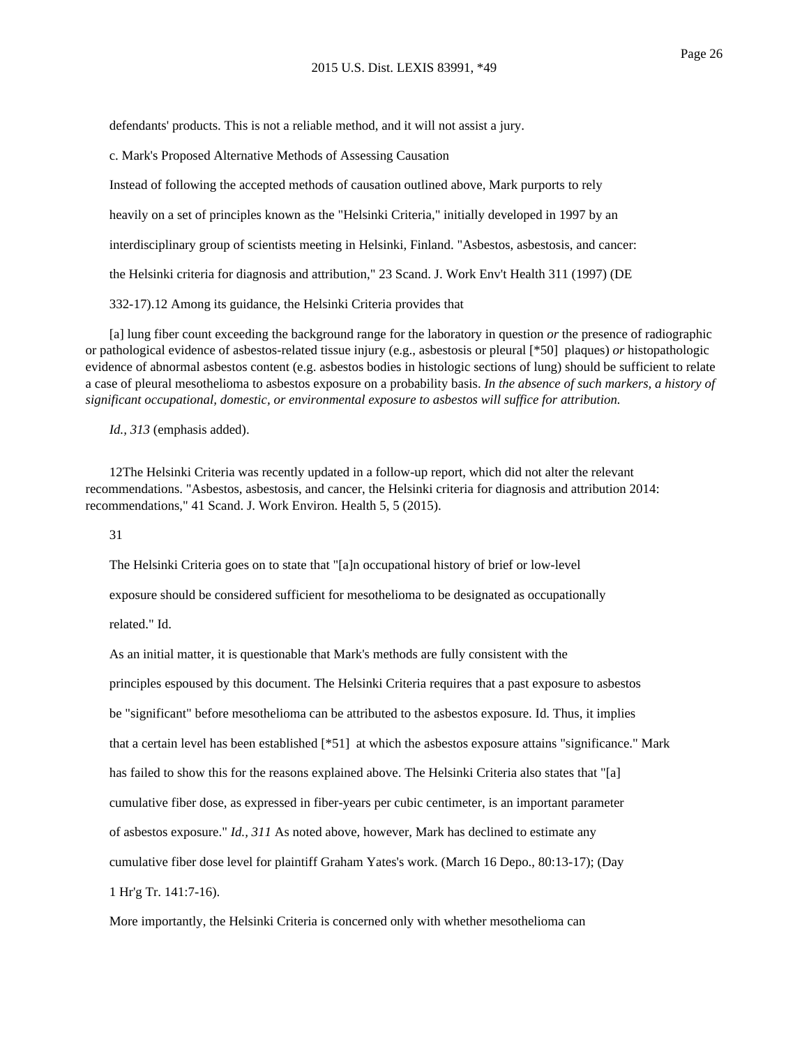defendants' products. This is not a reliable method, and it will not assist a jury.

c. Mark's Proposed Alternative Methods of Assessing Causation

Instead of following the accepted methods of causation outlined above, Mark purports to rely

heavily on a set of principles known as the "Helsinki Criteria," initially developed in 1997 by an

interdisciplinary group of scientists meeting in Helsinki, Finland. "Asbestos, asbestosis, and cancer:

the Helsinki criteria for diagnosis and attribution," 23 Scand. J. Work Env't Health 311 (1997) (DE

332-17).12 Among its guidance, the Helsinki Criteria provides that

[a] lung fiber count exceeding the background range for the laboratory in question *or* the presence of radiographic or pathological evidence of asbestos-related tissue injury (e.g., asbestosis or pleural [\*50] plaques) *or* histopathologic evidence of abnormal asbestos content (e.g. asbestos bodies in histologic sections of lung) should be sufficient to relate a case of pleural mesothelioma to asbestos exposure on a probability basis. *In the absence of such markers, a history of significant occupational, domestic, or environmental exposure to asbestos will suffice for attribution.*

*Id., 313* (emphasis added).

12The Helsinki Criteria was recently updated in a follow-up report, which did not alter the relevant recommendations. "Asbestos, asbestosis, and cancer, the Helsinki criteria for diagnosis and attribution 2014: recommendations," 41 Scand. J. Work Environ. Health 5, 5 (2015).

31

The Helsinki Criteria goes on to state that "[a]n occupational history of brief or low-level

exposure should be considered sufficient for mesothelioma to be designated as occupationally

related." Id.

As an initial matter, it is questionable that Mark's methods are fully consistent with the principles espoused by this document. The Helsinki Criteria requires that a past exposure to asbestos be "significant" before mesothelioma can be attributed to the asbestos exposure. Id. Thus, it implies that a certain level has been established [\*51] at which the asbestos exposure attains "significance." Mark has failed to show this for the reasons explained above. The Helsinki Criteria also states that "[a] cumulative fiber dose, as expressed in fiber-years per cubic centimeter, is an important parameter of asbestos exposure." *Id., 311* As noted above, however, Mark has declined to estimate any cumulative fiber dose level for plaintiff Graham Yates's work. (March 16 Depo., 80:13-17); (Day

1 Hr'g Tr. 141:7-16).

More importantly, the Helsinki Criteria is concerned only with whether mesothelioma can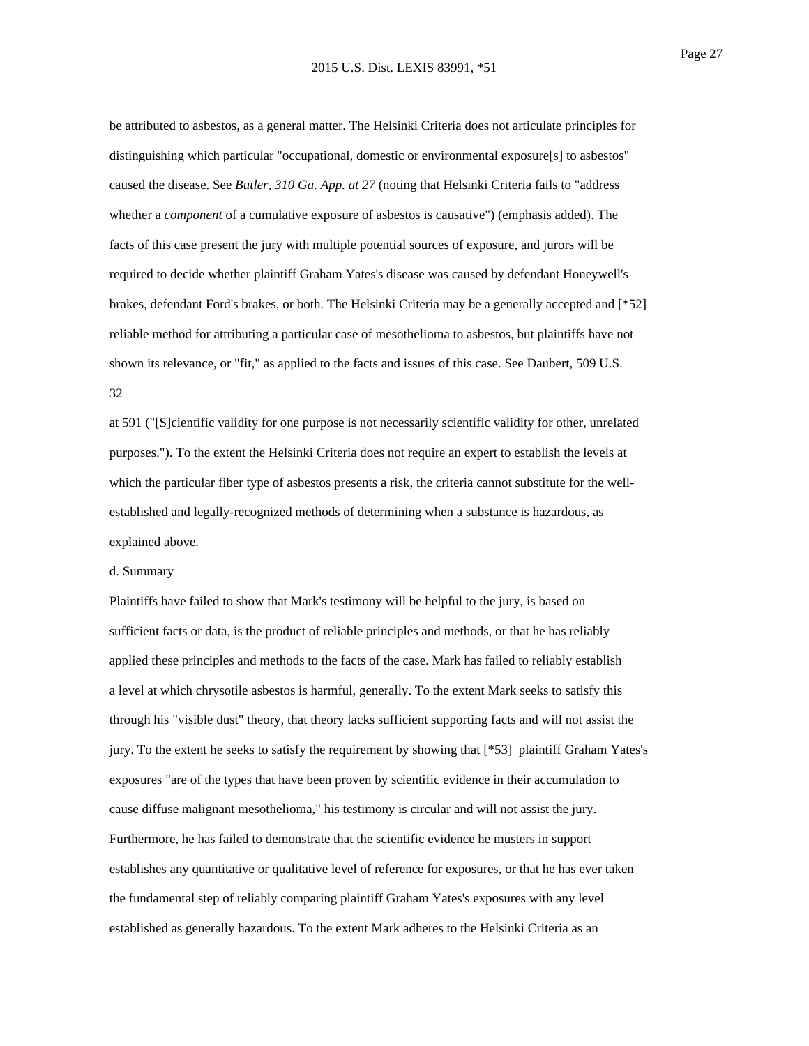be attributed to asbestos, as a general matter. The Helsinki Criteria does not articulate principles for distinguishing which particular "occupational, domestic or environmental exposure[s] to asbestos" caused the disease. See *Butler, 310 Ga. App. at 27* (noting that Helsinki Criteria fails to "address whether a *component* of a cumulative exposure of asbestos is causative") (emphasis added). The facts of this case present the jury with multiple potential sources of exposure, and jurors will be required to decide whether plaintiff Graham Yates's disease was caused by defendant Honeywell's brakes, defendant Ford's brakes, or both. The Helsinki Criteria may be a generally accepted and [\*52] reliable method for attributing a particular case of mesothelioma to asbestos, but plaintiffs have not shown its relevance, or "fit," as applied to the facts and issues of this case. See Daubert, 509 U.S. 32

at 591 ("[S]cientific validity for one purpose is not necessarily scientific validity for other, unrelated purposes."). To the extent the Helsinki Criteria does not require an expert to establish the levels at which the particular fiber type of asbestos presents a risk, the criteria cannot substitute for the wellestablished and legally-recognized methods of determining when a substance is hazardous, as explained above.

### d. Summary

Plaintiffs have failed to show that Mark's testimony will be helpful to the jury, is based on sufficient facts or data, is the product of reliable principles and methods, or that he has reliably applied these principles and methods to the facts of the case. Mark has failed to reliably establish a level at which chrysotile asbestos is harmful, generally. To the extent Mark seeks to satisfy this through his "visible dust" theory, that theory lacks sufficient supporting facts and will not assist the jury. To the extent he seeks to satisfy the requirement by showing that [\*53] plaintiff Graham Yates's exposures "are of the types that have been proven by scientific evidence in their accumulation to cause diffuse malignant mesothelioma," his testimony is circular and will not assist the jury. Furthermore, he has failed to demonstrate that the scientific evidence he musters in support establishes any quantitative or qualitative level of reference for exposures, or that he has ever taken the fundamental step of reliably comparing plaintiff Graham Yates's exposures with any level established as generally hazardous. To the extent Mark adheres to the Helsinki Criteria as an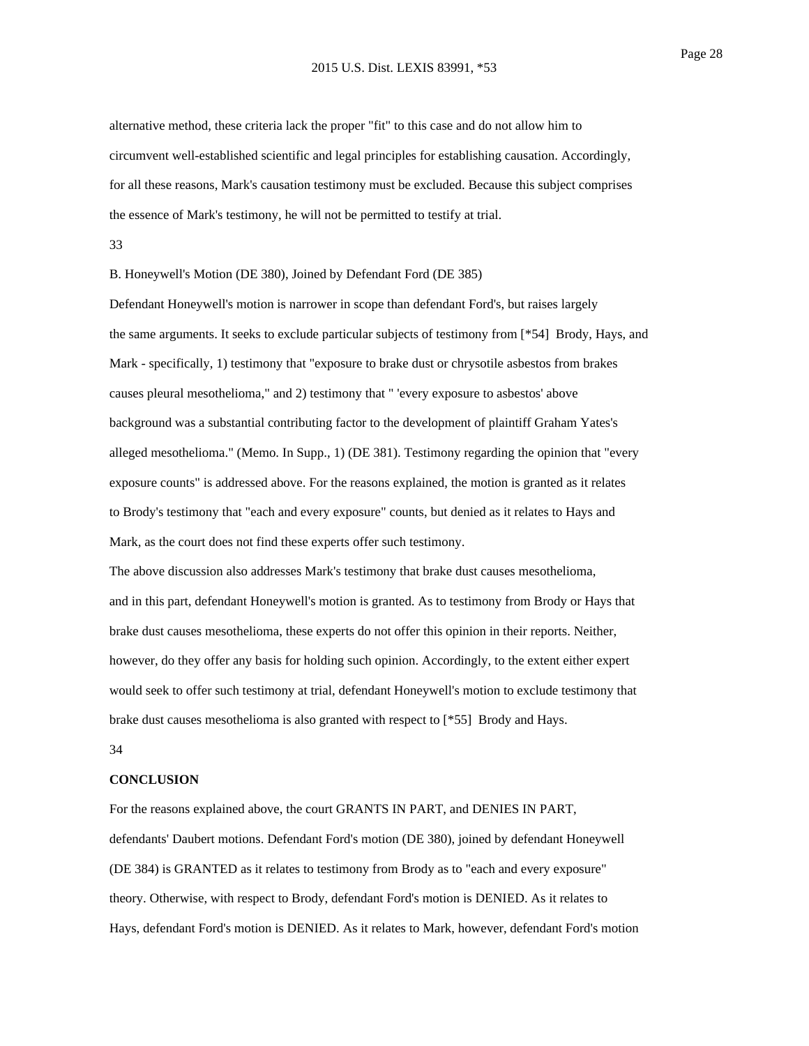alternative method, these criteria lack the proper "fit" to this case and do not allow him to circumvent well-established scientific and legal principles for establishing causation. Accordingly, for all these reasons, Mark's causation testimony must be excluded. Because this subject comprises the essence of Mark's testimony, he will not be permitted to testify at trial.

33

B. Honeywell's Motion (DE 380), Joined by Defendant Ford (DE 385)

Defendant Honeywell's motion is narrower in scope than defendant Ford's, but raises largely the same arguments. It seeks to exclude particular subjects of testimony from [\*54] Brody, Hays, and Mark - specifically, 1) testimony that "exposure to brake dust or chrysotile asbestos from brakes causes pleural mesothelioma," and 2) testimony that " 'every exposure to asbestos' above background was a substantial contributing factor to the development of plaintiff Graham Yates's alleged mesothelioma." (Memo. In Supp., 1) (DE 381). Testimony regarding the opinion that "every exposure counts" is addressed above. For the reasons explained, the motion is granted as it relates to Brody's testimony that "each and every exposure" counts, but denied as it relates to Hays and Mark, as the court does not find these experts offer such testimony.

The above discussion also addresses Mark's testimony that brake dust causes mesothelioma, and in this part, defendant Honeywell's motion is granted. As to testimony from Brody or Hays that brake dust causes mesothelioma, these experts do not offer this opinion in their reports. Neither, however, do they offer any basis for holding such opinion. Accordingly, to the extent either expert would seek to offer such testimony at trial, defendant Honeywell's motion to exclude testimony that brake dust causes mesothelioma is also granted with respect to [\*55] Brody and Hays.

### 34

### **CONCLUSION**

For the reasons explained above, the court GRANTS IN PART, and DENIES IN PART, defendants' Daubert motions. Defendant Ford's motion (DE 380), joined by defendant Honeywell (DE 384) is GRANTED as it relates to testimony from Brody as to "each and every exposure" theory. Otherwise, with respect to Brody, defendant Ford's motion is DENIED. As it relates to Hays, defendant Ford's motion is DENIED. As it relates to Mark, however, defendant Ford's motion